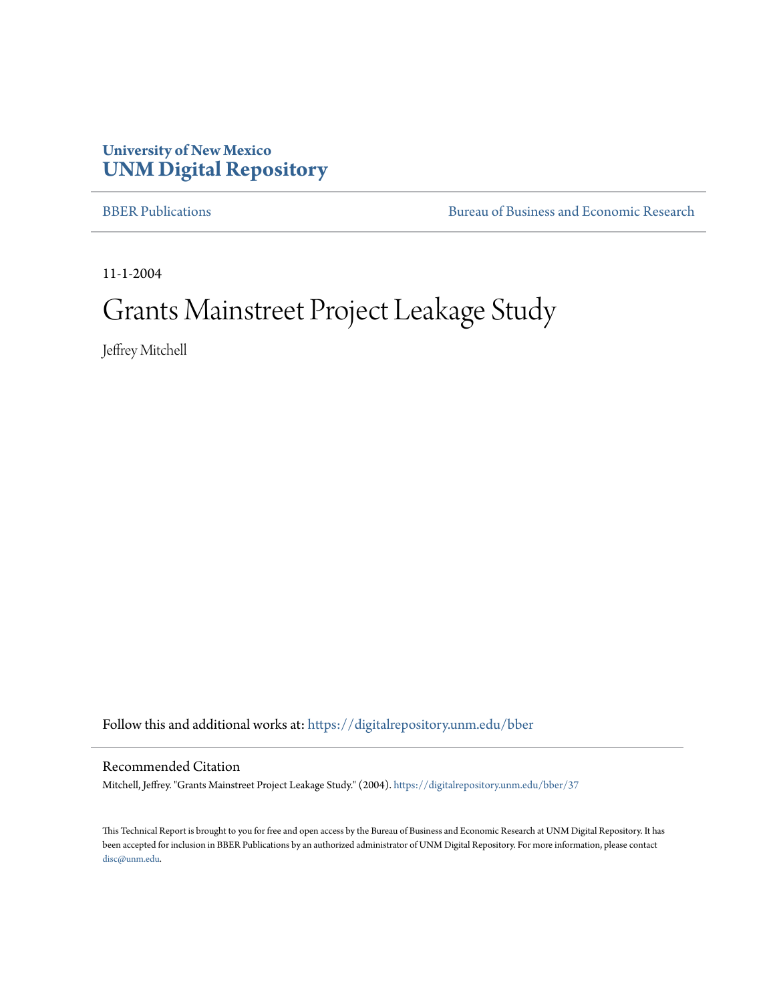## **University of New Mexico [UNM Digital Repository](https://digitalrepository.unm.edu?utm_source=digitalrepository.unm.edu%2Fbber%2F37&utm_medium=PDF&utm_campaign=PDFCoverPages)**

[BBER Publications](https://digitalrepository.unm.edu/bber?utm_source=digitalrepository.unm.edu%2Fbber%2F37&utm_medium=PDF&utm_campaign=PDFCoverPages) **BUREA** [Bureau of Business and Economic Research](https://digitalrepository.unm.edu/business_economic_research?utm_source=digitalrepository.unm.edu%2Fbber%2F37&utm_medium=PDF&utm_campaign=PDFCoverPages)

11-1-2004

## Grants Mainstreet Project Leakage Study

Jeffrey Mitchell

Follow this and additional works at: [https://digitalrepository.unm.edu/bber](https://digitalrepository.unm.edu/bber?utm_source=digitalrepository.unm.edu%2Fbber%2F37&utm_medium=PDF&utm_campaign=PDFCoverPages)

Recommended Citation

Mitchell, Jeffrey. "Grants Mainstreet Project Leakage Study." (2004). [https://digitalrepository.unm.edu/bber/37](https://digitalrepository.unm.edu/bber/37?utm_source=digitalrepository.unm.edu%2Fbber%2F37&utm_medium=PDF&utm_campaign=PDFCoverPages)

This Technical Report is brought to you for free and open access by the Bureau of Business and Economic Research at UNM Digital Repository. It has been accepted for inclusion in BBER Publications by an authorized administrator of UNM Digital Repository. For more information, please contact [disc@unm.edu](mailto:disc@unm.edu).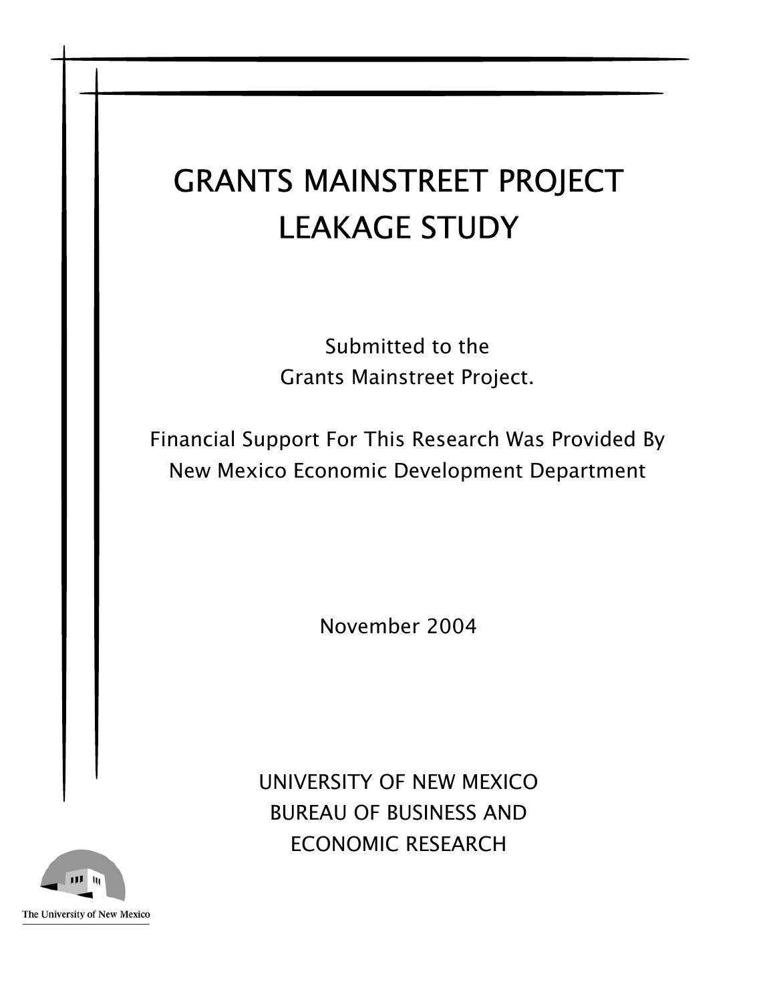Submitted to the Grants Mainstreet Project.

Financial Support For This Research Was Provided By New Mexico Economic Development Department

November 2004

UNIVERSITY OF NEW MEXICO BUREAU OF BUSINESS AND ECONOMIC RESEARCH

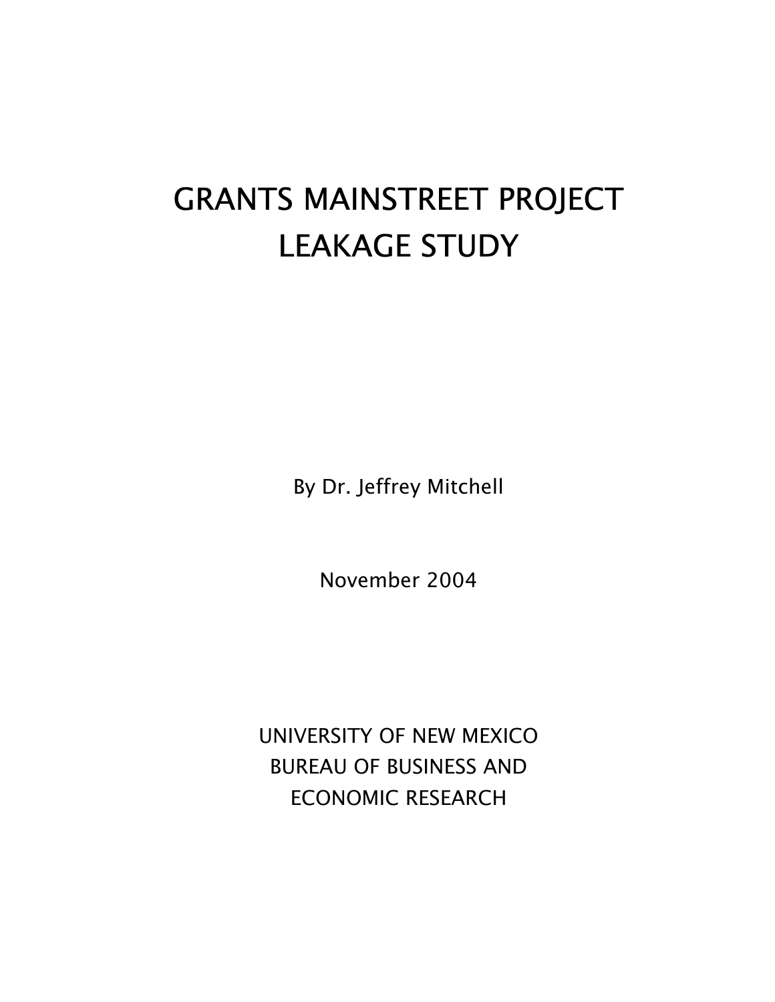By Dr. Jeffrey Mitchell

November 2004

UNIVERSITY OF NEW MEXICO BUREAU OF BUSINESS AND ECONOMIC RESEARCH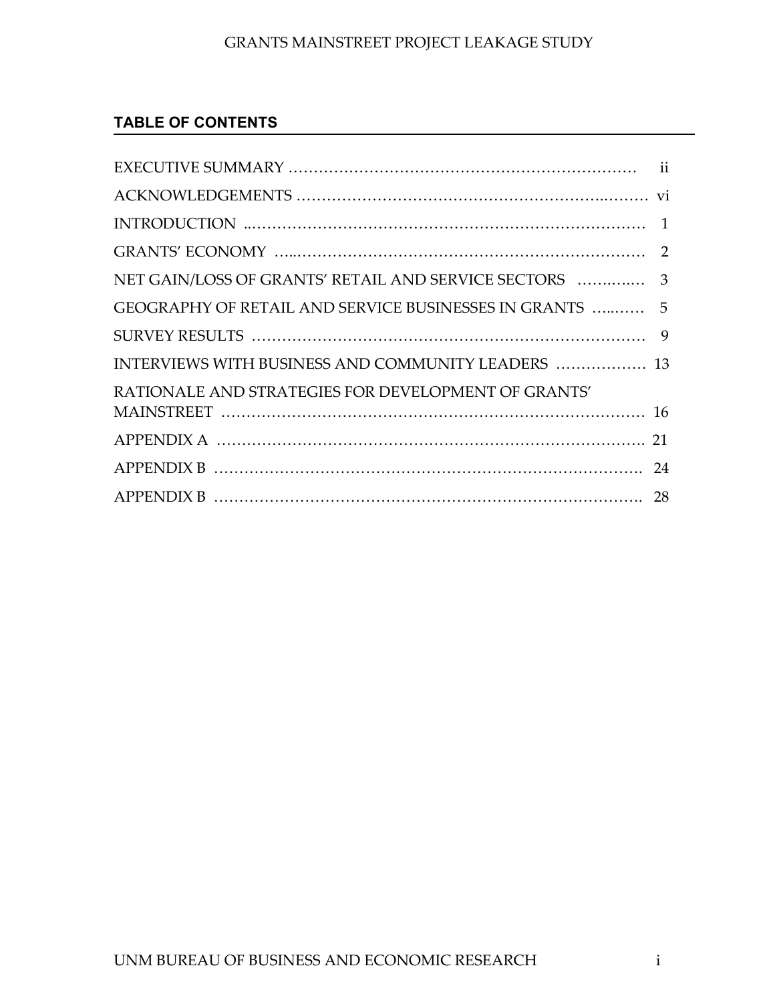## **TABLE OF CONTENTS**

| GEOGRAPHY OF RETAIL AND SERVICE BUSINESSES IN GRANTS  5 |    |
|---------------------------------------------------------|----|
|                                                         | 9  |
| INTERVIEWS WITH BUSINESS AND COMMUNITY LEADERS  13      |    |
| RATIONALE AND STRATEGIES FOR DEVELOPMENT OF GRANTS'     |    |
|                                                         |    |
|                                                         | 21 |
|                                                         | 24 |
|                                                         |    |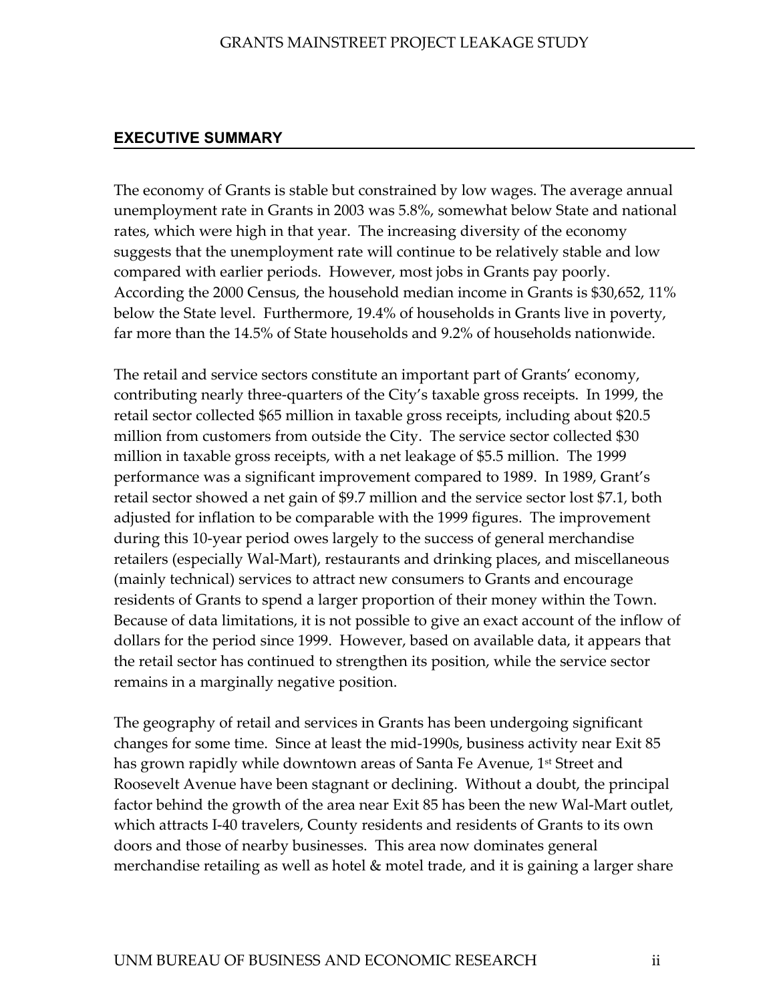#### <span id="page-4-0"></span>**EXECUTIVE SUMMARY**

The economy of Grants is stable but constrained by low wages. The average annual unemployment rate in Grants in 2003 was 5.8%, somewhat below State and national rates, which were high in that year. The increasing diversity of the economy suggests that the unemployment rate will continue to be relatively stable and low compared with earlier periods. However, most jobs in Grants pay poorly. According the 2000 Census, the household median income in Grants is \$30,652, 11% below the State level. Furthermore, 19.4% of households in Grants live in poverty, far more than the 14.5% of State households and 9.2% of households nationwide.

The retail and service sectors constitute an important part of Grants' economy, contributing nearly three-quarters of the City's taxable gross receipts. In 1999, the retail sector collected \$65 million in taxable gross receipts, including about \$20.5 million from customers from outside the City. The service sector collected \$30 million in taxable gross receipts, with a net leakage of \$5.5 million. The 1999 performance was a significant improvement compared to 1989. In 1989, Grant's retail sector showed a net gain of \$9.7 million and the service sector lost \$7.1, both adjusted for inflation to be comparable with the 1999 figures. The improvement during this 10-year period owes largely to the success of general merchandise retailers (especially Wal-Mart), restaurants and drinking places, and miscellaneous (mainly technical) services to attract new consumers to Grants and encourage residents of Grants to spend a larger proportion of their money within the Town. Because of data limitations, it is not possible to give an exact account of the inflow of dollars for the period since 1999. However, based on available data, it appears that the retail sector has continued to strengthen its position, while the service sector remains in a marginally negative position.

The geography of retail and services in Grants has been undergoing significant changes for some time. Since at least the mid-1990s, business activity near Exit 85 has grown rapidly while downtown areas of Santa Fe Avenue, 1<sup>st</sup> Street and Roosevelt Avenue have been stagnant or declining. Without a doubt, the principal factor behind the growth of the area near Exit 85 has been the new Wal-Mart outlet, which attracts I-40 travelers, County residents and residents of Grants to its own doors and those of nearby businesses. This area now dominates general merchandise retailing as well as hotel & motel trade, and it is gaining a larger share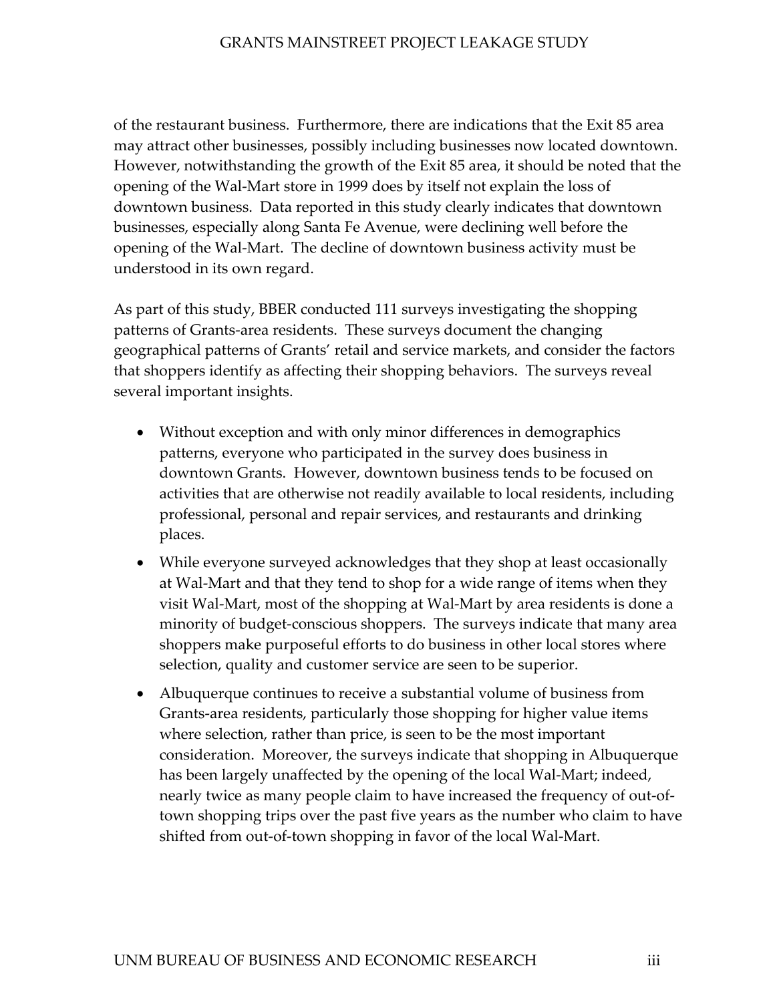of the restaurant business. Furthermore, there are indications that the Exit 85 area may attract other businesses, possibly including businesses now located downtown. However, notwithstanding the growth of the Exit 85 area, it should be noted that the opening of the Wal-Mart store in 1999 does by itself not explain the loss of downtown business. Data reported in this study clearly indicates that downtown businesses, especially along Santa Fe Avenue, were declining well before the opening of the Wal-Mart. The decline of downtown business activity must be understood in its own regard.

As part of this study, BBER conducted 111 surveys investigating the shopping patterns of Grants-area residents. These surveys document the changing geographical patterns of Grants' retail and service markets, and consider the factors that shoppers identify as affecting their shopping behaviors. The surveys reveal several important insights.

- Without exception and with only minor differences in demographics patterns, everyone who participated in the survey does business in downtown Grants. However, downtown business tends to be focused on activities that are otherwise not readily available to local residents, including professional, personal and repair services, and restaurants and drinking places.
- While everyone surveyed acknowledges that they shop at least occasionally at Wal-Mart and that they tend to shop for a wide range of items when they visit Wal-Mart, most of the shopping at Wal-Mart by area residents is done a minority of budget-conscious shoppers. The surveys indicate that many area shoppers make purposeful efforts to do business in other local stores where selection, quality and customer service are seen to be superior.
- Albuquerque continues to receive a substantial volume of business from Grants-area residents, particularly those shopping for higher value items where selection, rather than price, is seen to be the most important consideration. Moreover, the surveys indicate that shopping in Albuquerque has been largely unaffected by the opening of the local Wal-Mart; indeed, nearly twice as many people claim to have increased the frequency of out-oftown shopping trips over the past five years as the number who claim to have shifted from out-of-town shopping in favor of the local Wal-Mart.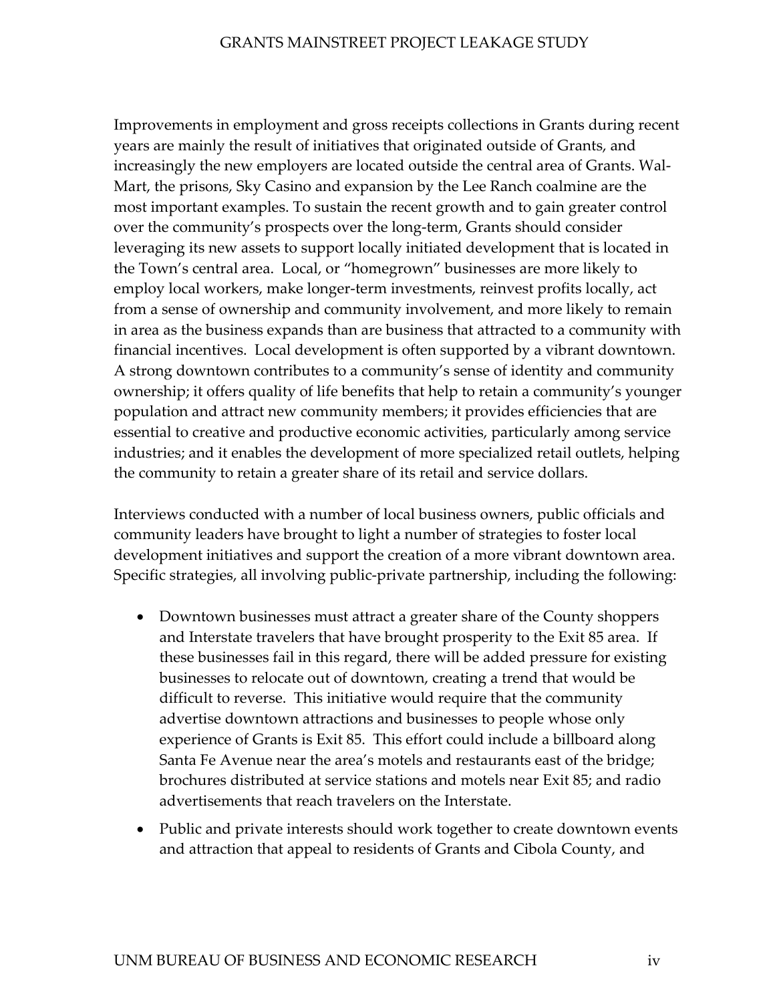Improvements in employment and gross receipts collections in Grants during recent years are mainly the result of initiatives that originated outside of Grants, and increasingly the new employers are located outside the central area of Grants. Wal-Mart, the prisons, Sky Casino and expansion by the Lee Ranch coalmine are the most important examples. To sustain the recent growth and to gain greater control over the community's prospects over the long-term, Grants should consider leveraging its new assets to support locally initiated development that is located in the Town's central area. Local, or "homegrown" businesses are more likely to employ local workers, make longer-term investments, reinvest profits locally, act from a sense of ownership and community involvement, and more likely to remain in area as the business expands than are business that attracted to a community with financial incentives. Local development is often supported by a vibrant downtown. A strong downtown contributes to a community's sense of identity and community ownership; it offers quality of life benefits that help to retain a community's younger population and attract new community members; it provides efficiencies that are essential to creative and productive economic activities, particularly among service industries; and it enables the development of more specialized retail outlets, helping the community to retain a greater share of its retail and service dollars.

Interviews conducted with a number of local business owners, public officials and community leaders have brought to light a number of strategies to foster local development initiatives and support the creation of a more vibrant downtown area. Specific strategies, all involving public-private partnership, including the following:

- Downtown businesses must attract a greater share of the County shoppers and Interstate travelers that have brought prosperity to the Exit 85 area. If these businesses fail in this regard, there will be added pressure for existing businesses to relocate out of downtown, creating a trend that would be difficult to reverse. This initiative would require that the community advertise downtown attractions and businesses to people whose only experience of Grants is Exit 85. This effort could include a billboard along Santa Fe Avenue near the area's motels and restaurants east of the bridge; brochures distributed at service stations and motels near Exit 85; and radio advertisements that reach travelers on the Interstate.
- Public and private interests should work together to create downtown events and attraction that appeal to residents of Grants and Cibola County, and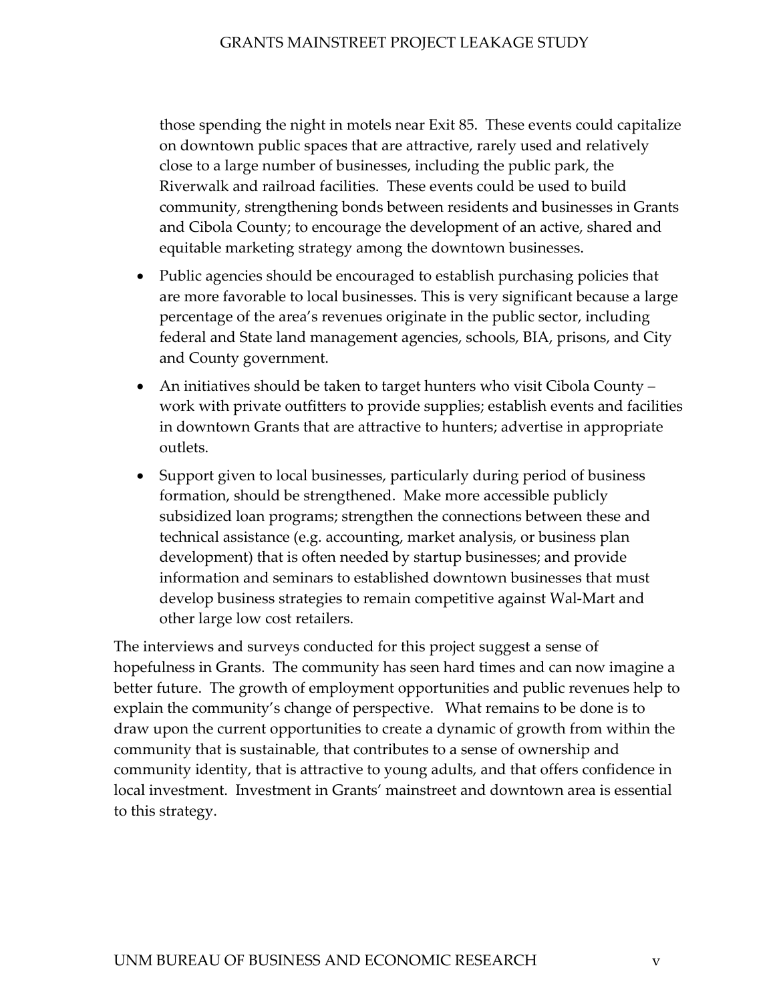those spending the night in motels near Exit 85. These events could capitalize on downtown public spaces that are attractive, rarely used and relatively close to a large number of businesses, including the public park, the Riverwalk and railroad facilities. These events could be used to build community, strengthening bonds between residents and businesses in Grants and Cibola County; to encourage the development of an active, shared and equitable marketing strategy among the downtown businesses.

- Public agencies should be encouraged to establish purchasing policies that are more favorable to local businesses. This is very significant because a large percentage of the area's revenues originate in the public sector, including federal and State land management agencies, schools, BIA, prisons, and City and County government.
- An initiatives should be taken to target hunters who visit Cibola County work with private outfitters to provide supplies; establish events and facilities in downtown Grants that are attractive to hunters; advertise in appropriate outlets.
- Support given to local businesses, particularly during period of business formation, should be strengthened. Make more accessible publicly subsidized loan programs; strengthen the connections between these and technical assistance (e.g. accounting, market analysis, or business plan development) that is often needed by startup businesses; and provide information and seminars to established downtown businesses that must develop business strategies to remain competitive against Wal-Mart and other large low cost retailers.

The interviews and surveys conducted for this project suggest a sense of hopefulness in Grants. The community has seen hard times and can now imagine a better future. The growth of employment opportunities and public revenues help to explain the community's change of perspective. What remains to be done is to draw upon the current opportunities to create a dynamic of growth from within the community that is sustainable, that contributes to a sense of ownership and community identity, that is attractive to young adults, and that offers confidence in local investment. Investment in Grants' mainstreet and downtown area is essential to this strategy.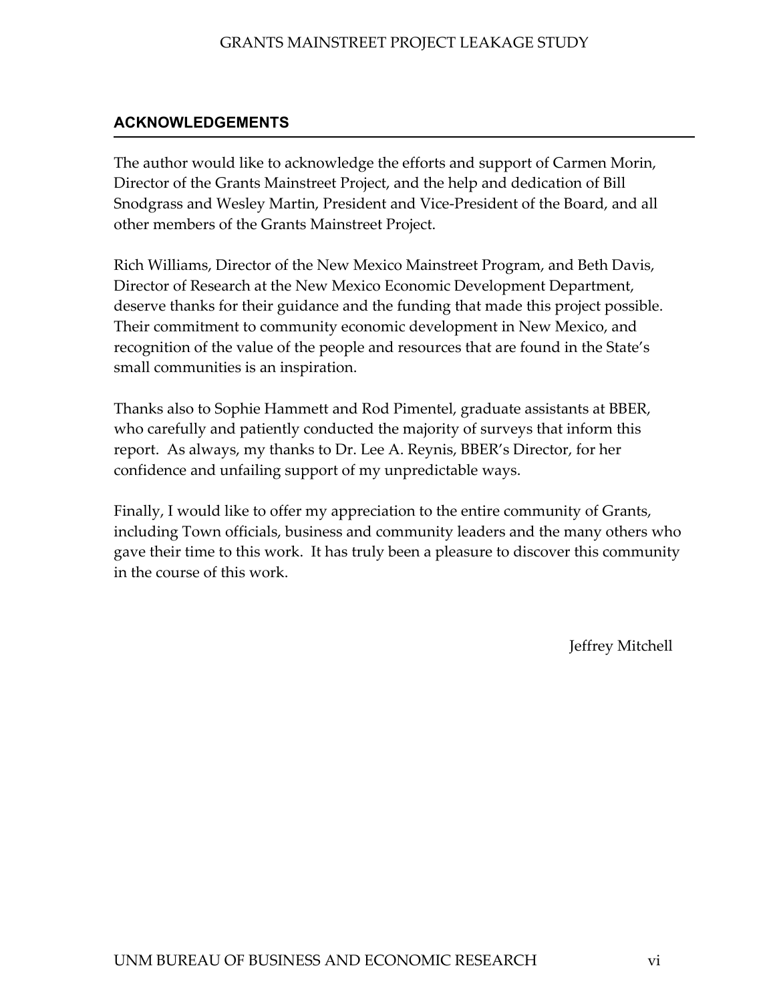## <span id="page-8-0"></span>**ACKNOWLEDGEMENTS**

The author would like to acknowledge the efforts and support of Carmen Morin, Director of the Grants Mainstreet Project, and the help and dedication of Bill Snodgrass and Wesley Martin, President and Vice-President of the Board, and all other members of the Grants Mainstreet Project.

Rich Williams, Director of the New Mexico Mainstreet Program, and Beth Davis, Director of Research at the New Mexico Economic Development Department, deserve thanks for their guidance and the funding that made this project possible. Their commitment to community economic development in New Mexico, and recognition of the value of the people and resources that are found in the State's small communities is an inspiration.

Thanks also to Sophie Hammett and Rod Pimentel, graduate assistants at BBER, who carefully and patiently conducted the majority of surveys that inform this report. As always, my thanks to Dr. Lee A. Reynis, BBER's Director, for her confidence and unfailing support of my unpredictable ways.

Finally, I would like to offer my appreciation to the entire community of Grants, including Town officials, business and community leaders and the many others who gave their time to this work. It has truly been a pleasure to discover this community in the course of this work.

Jeffrey Mitchell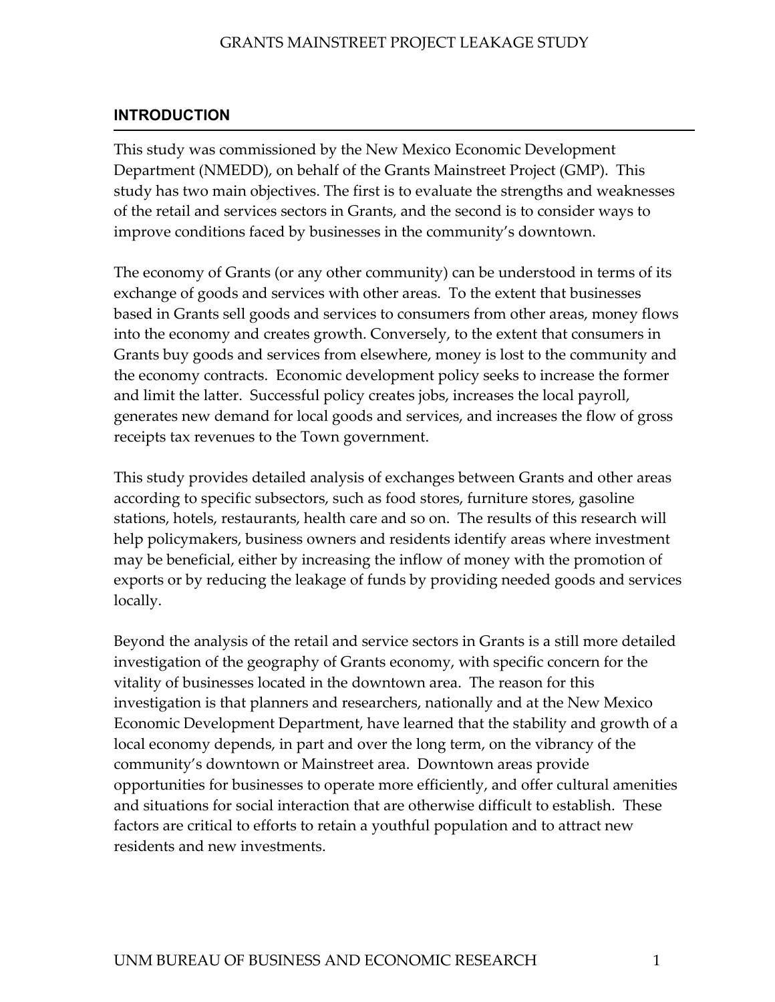## <span id="page-9-0"></span>**INTRODUCTION**

This study was commissioned by the New Mexico Economic Development Department (NMEDD), on behalf of the Grants Mainstreet Project (GMP). This study has two main objectives. The first is to evaluate the strengths and weaknesses of the retail and services sectors in Grants, and the second is to consider ways to improve conditions faced by businesses in the community's downtown.

The economy of Grants (or any other community) can be understood in terms of its exchange of goods and services with other areas. To the extent that businesses based in Grants sell goods and services to consumers from other areas, money flows into the economy and creates growth. Conversely, to the extent that consumers in Grants buy goods and services from elsewhere, money is lost to the community and the economy contracts. Economic development policy seeks to increase the former and limit the latter. Successful policy creates jobs, increases the local payroll, generates new demand for local goods and services, and increases the flow of gross receipts tax revenues to the Town government.

This study provides detailed analysis of exchanges between Grants and other areas according to specific subsectors, such as food stores, furniture stores, gasoline stations, hotels, restaurants, health care and so on. The results of this research will help policymakers, business owners and residents identify areas where investment may be beneficial, either by increasing the inflow of money with the promotion of exports or by reducing the leakage of funds by providing needed goods and services locally.

Beyond the analysis of the retail and service sectors in Grants is a still more detailed investigation of the geography of Grants economy, with specific concern for the vitality of businesses located in the downtown area. The reason for this investigation is that planners and researchers, nationally and at the New Mexico Economic Development Department, have learned that the stability and growth of a local economy depends, in part and over the long term, on the vibrancy of the community's downtown or Mainstreet area. Downtown areas provide opportunities for businesses to operate more efficiently, and offer cultural amenities and situations for social interaction that are otherwise difficult to establish. These factors are critical to efforts to retain a youthful population and to attract new residents and new investments.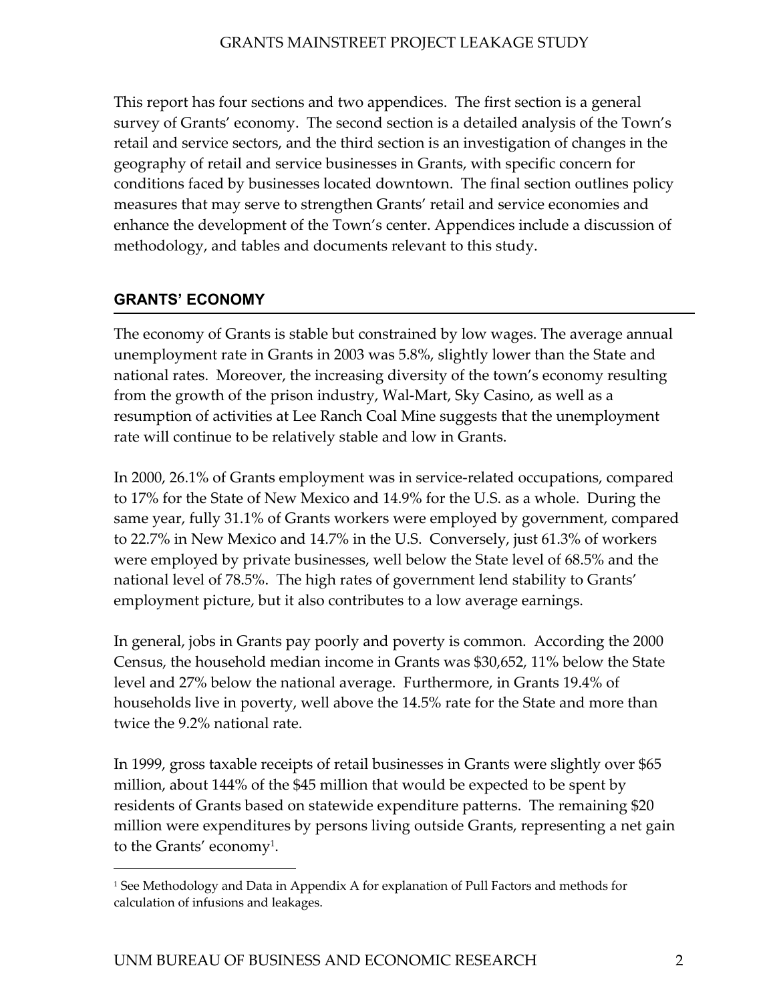<span id="page-10-0"></span>This report has four sections and two appendices. The first section is a general survey of Grants' economy. The second section is a detailed analysis of the Town's retail and service sectors, and the third section is an investigation of changes in the geography of retail and service businesses in Grants, with specific concern for conditions faced by businesses located downtown. The final section outlines policy measures that may serve to strengthen Grants' retail and service economies and enhance the development of the Town's center. Appendices include a discussion of methodology, and tables and documents relevant to this study.

## **GRANTS' ECONOMY**

 $\overline{a}$ 

The economy of Grants is stable but constrained by low wages. The average annual unemployment rate in Grants in 2003 was 5.8%, slightly lower than the State and national rates. Moreover, the increasing diversity of the town's economy resulting from the growth of the prison industry, Wal-Mart, Sky Casino, as well as a resumption of activities at Lee Ranch Coal Mine suggests that the unemployment rate will continue to be relatively stable and low in Grants.

In 2000, 26.1% of Grants employment was in service-related occupations, compared to 17% for the State of New Mexico and 14.9% for the U.S. as a whole. During the same year, fully 31.1% of Grants workers were employed by government, compared to 22.7% in New Mexico and 14.7% in the U.S. Conversely, just 61.3% of workers were employed by private businesses, well below the State level of 68.5% and the national level of 78.5%. The high rates of government lend stability to Grants' employment picture, but it also contributes to a low average earnings.

In general, jobs in Grants pay poorly and poverty is common. According the 2000 Census, the household median income in Grants was \$30,652, 11% below the State level and 27% below the national average. Furthermore, in Grants 19.4% of households live in poverty, well above the 14.5% rate for the State and more than twice the 9.2% national rate.

In 1999, gross taxable receipts of retail businesses in Grants were slightly over \$65 million, about 144% of the \$45 million that would be expected to be spent by residents of Grants based on statewide expenditure patterns. The remaining \$20 million were expenditures by persons living outside Grants, representing a net gain to the Grants' economy<sup>1</sup>.

<span id="page-10-1"></span><sup>&</sup>lt;sup>1</sup> See Methodology and Data in Appendix A for explanation of Pull Factors and methods for calculation of infusions and leakages.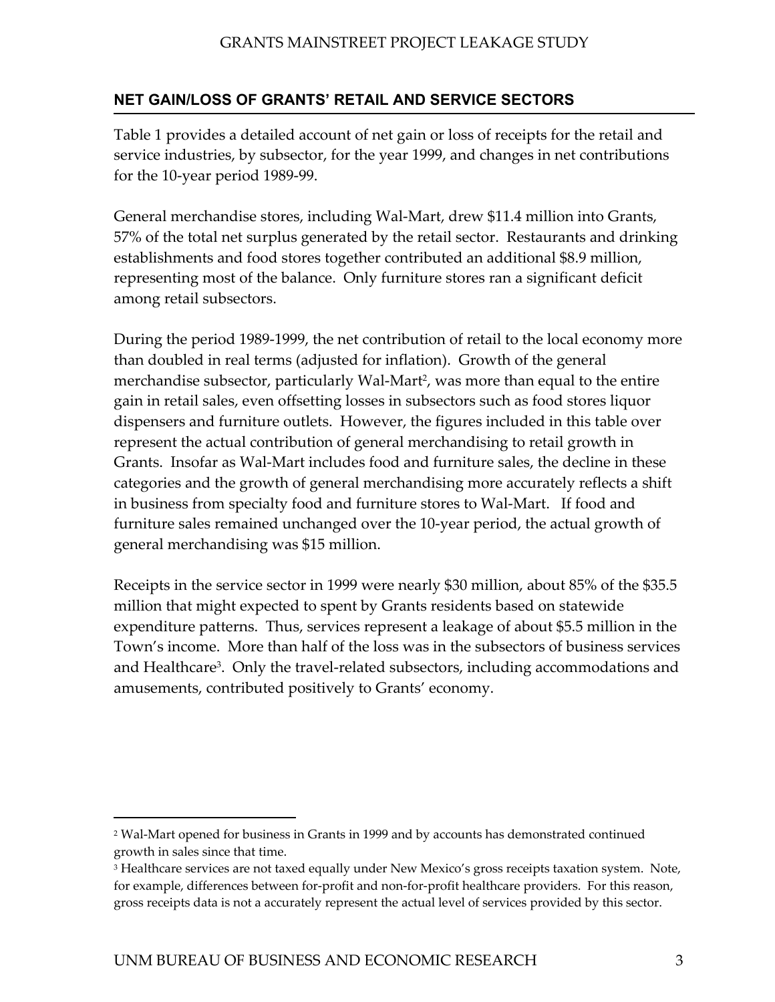## <span id="page-11-0"></span>**NET GAIN/LOSS OF GRANTS' RETAIL AND SERVICE SECTORS**

Table 1 provides a detailed account of net gain or loss of receipts for the retail and service industries, by subsector, for the year 1999, and changes in net contributions for the 10-year period 1989-99.

General merchandise stores, including Wal-Mart, drew \$11.4 million into Grants, 57% of the total net surplus generated by the retail sector. Restaurants and drinking establishments and food stores together contributed an additional \$8.9 million, representing most of the balance. Only furniture stores ran a significant deficit among retail subsectors.

During the period 1989-1999, the net contribution of retail to the local economy more than doubled in real terms (adjusted for inflation). Growth of the general merchandise subsector, particularly Wal-Mart<sup>2</sup>, was more than equal to the entire gain in retail sales, even offsetting losses in subsectors such as food stores liquor dispensers and furniture outlets. However, the figures included in this table over represent the actual contribution of general merchandising to retail growth in Grants. Insofar as Wal-Mart includes food and furniture sales, the decline in these categories and the growth of general merchandising more accurately reflects a shift in business from specialty food and furniture stores to Wal-Mart. If food and furniture sales remained unchanged over the 10-year period, the actual growth of general merchandising was \$15 million.

Receipts in the service sector in 1999 were nearly \$30 million, about 85% of the \$35.5 million that might expected to spent by Grants residents based on statewide expenditure patterns. Thus, services represent a leakage of about \$5.5 million in the Town's income. More than half of the loss was in the subsectors of business services and Healthcare<sup>3</sup>. Only the travel-related subsectors, including accommodations and amusements, contributed positively to Grants' economy.

-

<span id="page-11-1"></span><sup>2</sup> Wal-Mart opened for business in Grants in 1999 and by accounts has demonstrated continued growth in sales since that time.

<span id="page-11-2"></span><sup>&</sup>lt;sup>3</sup> Healthcare services are not taxed equally under New Mexico's gross receipts taxation system. Note, for example, differences between for-profit and non-for-profit healthcare providers. For this reason, gross receipts data is not a accurately represent the actual level of services provided by this sector.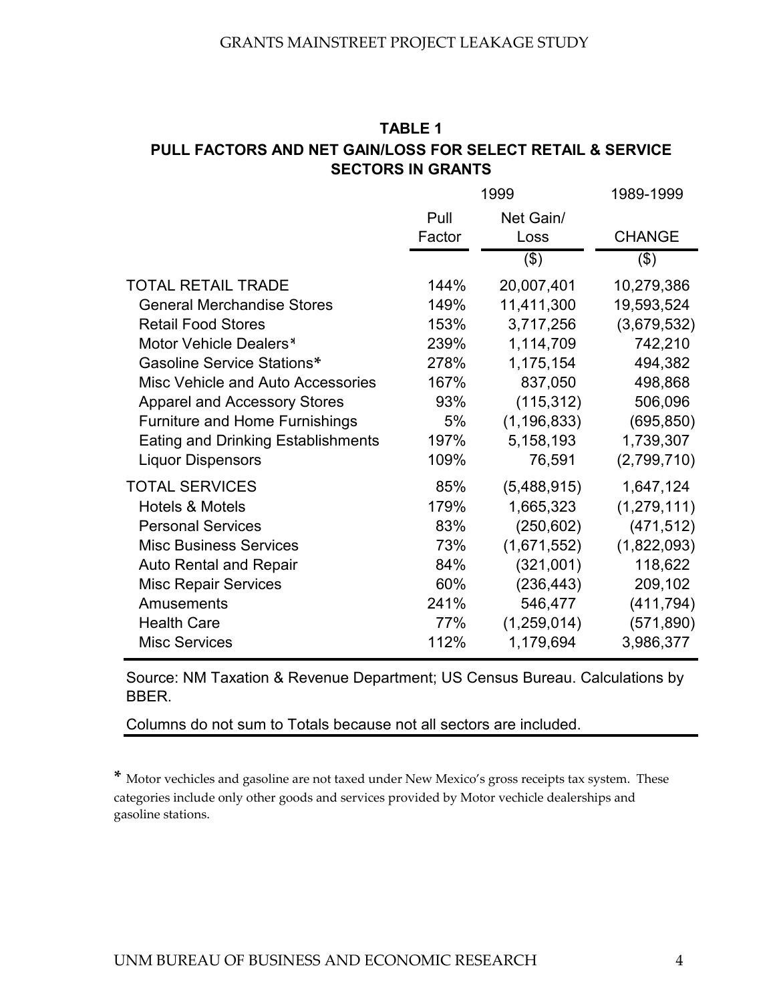## **TABLE 1 PULL FACTORS AND NET GAIN/LOSS FOR SELECT RETAIL & SERVICE SECTORS IN GRANTS**

|                                           | 1999   | 1989-1999     |               |
|-------------------------------------------|--------|---------------|---------------|
|                                           | Pull   | Net Gain/     |               |
|                                           | Factor | Loss          | <b>CHANGE</b> |
|                                           |        | $($ \$)       | $($ \$)       |
| <b>TOTAL RETAIL TRADE</b>                 | 144%   | 20,007,401    | 10,279,386    |
| <b>General Merchandise Stores</b>         | 149%   | 11,411,300    | 19,593,524    |
| <b>Retail Food Stores</b>                 | 153%   | 3,717,256     | (3,679,532)   |
| Motor Vehicle Dealers*                    | 239%   | 1,114,709     | 742,210       |
| Gasoline Service Stations*                | 278%   | 1,175,154     | 494,382       |
| Misc Vehicle and Auto Accessories         | 167%   | 837,050       | 498,868       |
| <b>Apparel and Accessory Stores</b>       | 93%    | (115, 312)    | 506,096       |
| <b>Furniture and Home Furnishings</b>     | 5%     | (1, 196, 833) | (695, 850)    |
| <b>Eating and Drinking Establishments</b> | 197%   | 5,158,193     | 1,739,307     |
| <b>Liquor Dispensors</b>                  | 109%   | 76,591        | (2,799,710)   |
| <b>TOTAL SERVICES</b>                     | 85%    | (5,488,915)   | 1,647,124     |
| <b>Hotels &amp; Motels</b>                | 179%   | 1,665,323     | (1,279,111)   |
| <b>Personal Services</b>                  | 83%    | (250, 602)    | (471, 512)    |
| <b>Misc Business Services</b>             | 73%    | (1,671,552)   | (1,822,093)   |
| <b>Auto Rental and Repair</b>             | 84%    | (321,001)     | 118,622       |
| <b>Misc Repair Services</b>               | 60%    | (236, 443)    | 209,102       |
| Amusements                                | 241%   | 546,477       | (411, 794)    |
| <b>Health Care</b>                        | 77%    | (1,259,014)   | (571, 890)    |
| <b>Misc Services</b>                      | 112%   | 1,179,694     | 3,986,377     |

Source: NM Taxation & Revenue Department; US Census Bureau. Calculations by BBER.

Columns do not sum to Totals because not all sectors are included.

**\*** Motor vechicles and gasoline are not taxed under New Mexico's gross receipts tax system. These categories include only other goods and services provided by Motor vechicle dealerships and gasoline stations.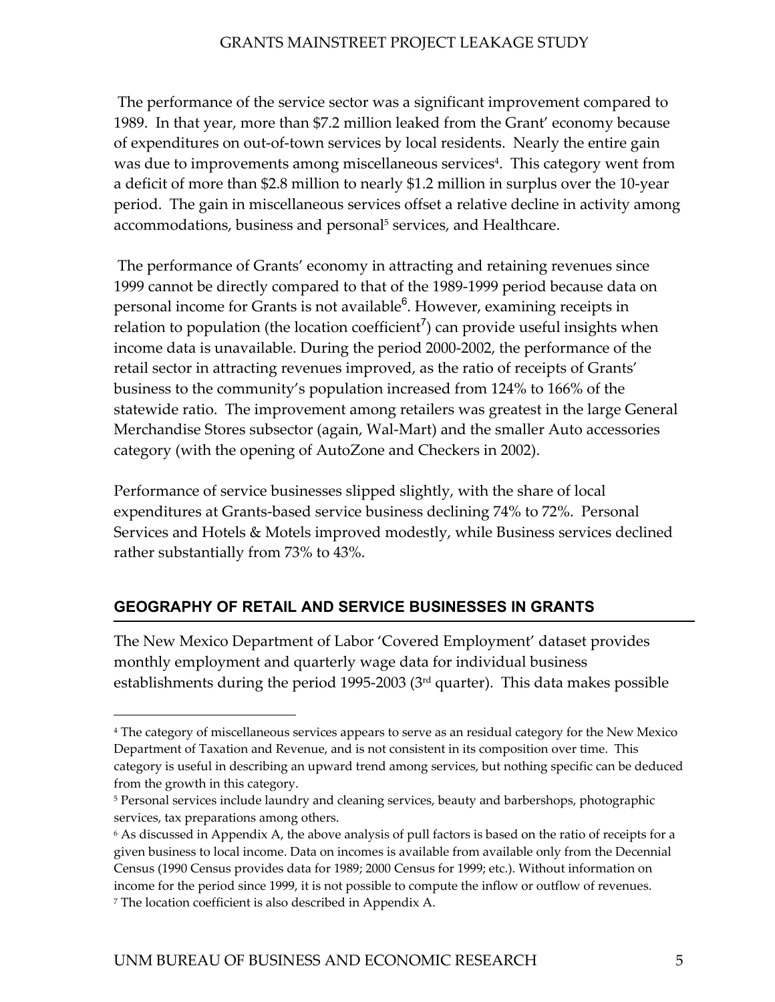<span id="page-13-0"></span> The performance of the service sector was a significant improvement compared to 1989. In that year, more than \$7.2 million leaked from the Grant' economy because of expenditures on out-of-town services by local residents. Nearly the entire gain was due to improvements among miscellaneous services<sup>4</sup>. This category went from a deficit of more than \$2.8 million to nearly \$1.2 million in surplus over the 10-year period. The gain in miscellaneous services offset a relative decline in activity among accommodations, business and personal<sup>5</sup> services, and Healthcare.

 The performance of Grants' economy in attracting and retaining revenues since 1999 cannot be directly compared to that of the 1989-1999 period because data on personal income for Grants is not available<sup>[6](#page-13-3)</sup>. However, examining receipts in relation to population (the location coefficient<sup>[7](#page-13-4)</sup>) can provide useful insights when income data is unavailable. During the period 2000-2002, the performance of the retail sector in attracting revenues improved, as the ratio of receipts of Grants' business to the community's population increased from 124% to 166% of the statewide ratio. The improvement among retailers was greatest in the large General Merchandise Stores subsector (again, Wal-Mart) and the smaller Auto accessories category (with the opening of AutoZone and Checkers in 2002).

Performance of service businesses slipped slightly, with the share of local expenditures at Grants-based service business declining 74% to 72%. Personal Services and Hotels & Motels improved modestly, while Business services declined rather substantially from 73% to 43%.

## **GEOGRAPHY OF RETAIL AND SERVICE BUSINESSES IN GRANTS**

The New Mexico Department of Labor 'Covered Employment' dataset provides monthly employment and quarterly wage data for individual business establishments during the period 1995-2003 (3rd quarter). This data makes possible

 $\overline{a}$ 

<span id="page-13-1"></span><sup>4</sup> The category of miscellaneous services appears to serve as an residual category for the New Mexico Department of Taxation and Revenue, and is not consistent in its composition over time. This category is useful in describing an upward trend among services, but nothing specific can be deduced from the growth in this category.

<span id="page-13-2"></span><sup>&</sup>lt;sup>5</sup> Personal services include laundry and cleaning services, beauty and barbershops, photographic services, tax preparations among others.

<span id="page-13-4"></span><span id="page-13-3"></span><sup>6</sup> As discussed in Appendix A, the above analysis of pull factors is based on the ratio of receipts for a given business to local income. Data on incomes is available from available only from the Decennial Census (1990 Census provides data for 1989; 2000 Census for 1999; etc.). Without information on income for the period since 1999, it is not possible to compute the inflow or outflow of revenues. 7 The location coefficient is also described in Appendix A.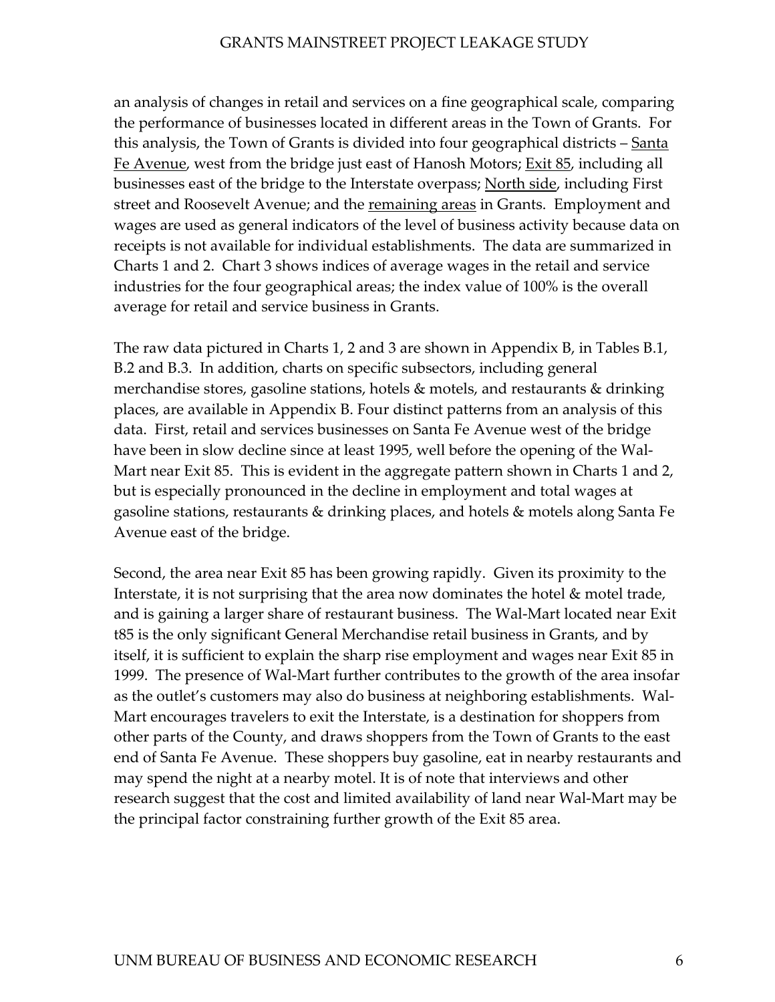an analysis of changes in retail and services on a fine geographical scale, comparing the performance of businesses located in different areas in the Town of Grants. For this analysis, the Town of Grants is divided into four geographical districts – Santa Fe Avenue, west from the bridge just east of Hanosh Motors; Exit 85, including all businesses east of the bridge to the Interstate overpass; North side, including First street and Roosevelt Avenue; and the remaining areas in Grants. Employment and wages are used as general indicators of the level of business activity because data on receipts is not available for individual establishments. The data are summarized in Charts 1 and 2. Chart 3 shows indices of average wages in the retail and service industries for the four geographical areas; the index value of 100% is the overall average for retail and service business in Grants.

The raw data pictured in Charts 1, 2 and 3 are shown in Appendix B, in Tables B.1, B.2 and B.3. In addition, charts on specific subsectors, including general merchandise stores, gasoline stations, hotels & motels, and restaurants & drinking places, are available in Appendix B. Four distinct patterns from an analysis of this data. First, retail and services businesses on Santa Fe Avenue west of the bridge have been in slow decline since at least 1995, well before the opening of the Wal-Mart near Exit 85. This is evident in the aggregate pattern shown in Charts 1 and 2, but is especially pronounced in the decline in employment and total wages at gasoline stations, restaurants & drinking places, and hotels & motels along Santa Fe Avenue east of the bridge.

Second, the area near Exit 85 has been growing rapidly. Given its proximity to the Interstate, it is not surprising that the area now dominates the hotel & motel trade, and is gaining a larger share of restaurant business. The Wal-Mart located near Exit t85 is the only significant General Merchandise retail business in Grants, and by itself, it is sufficient to explain the sharp rise employment and wages near Exit 85 in 1999. The presence of Wal-Mart further contributes to the growth of the area insofar as the outlet's customers may also do business at neighboring establishments. Wal-Mart encourages travelers to exit the Interstate, is a destination for shoppers from other parts of the County, and draws shoppers from the Town of Grants to the east end of Santa Fe Avenue. These shoppers buy gasoline, eat in nearby restaurants and may spend the night at a nearby motel. It is of note that interviews and other research suggest that the cost and limited availability of land near Wal-Mart may be the principal factor constraining further growth of the Exit 85 area.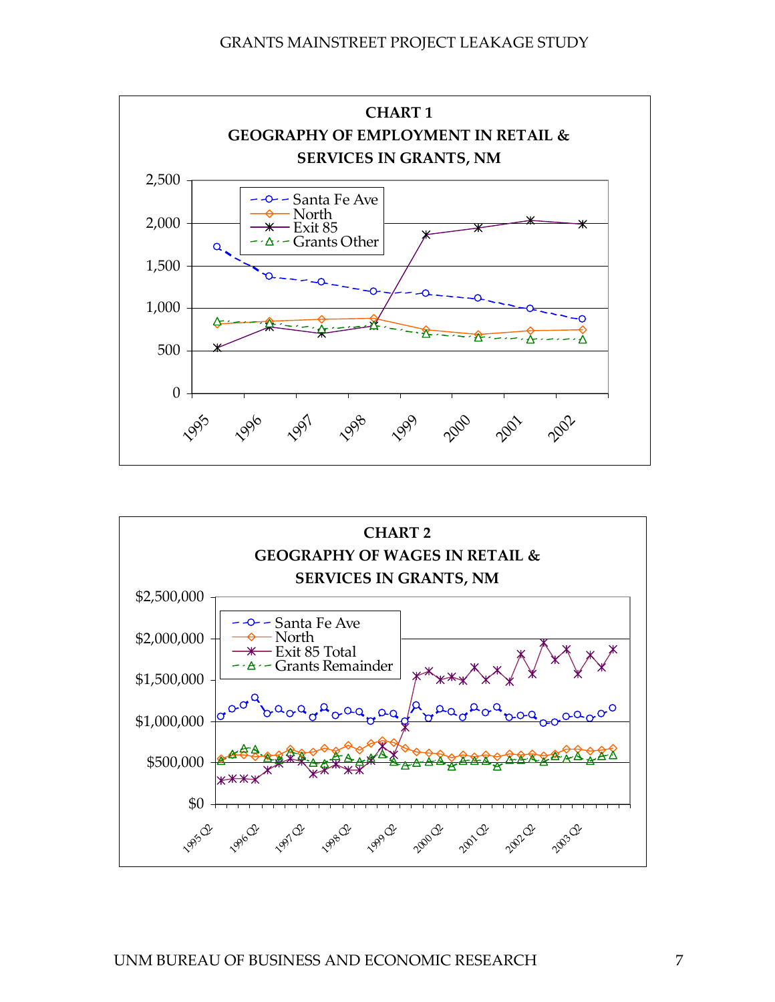

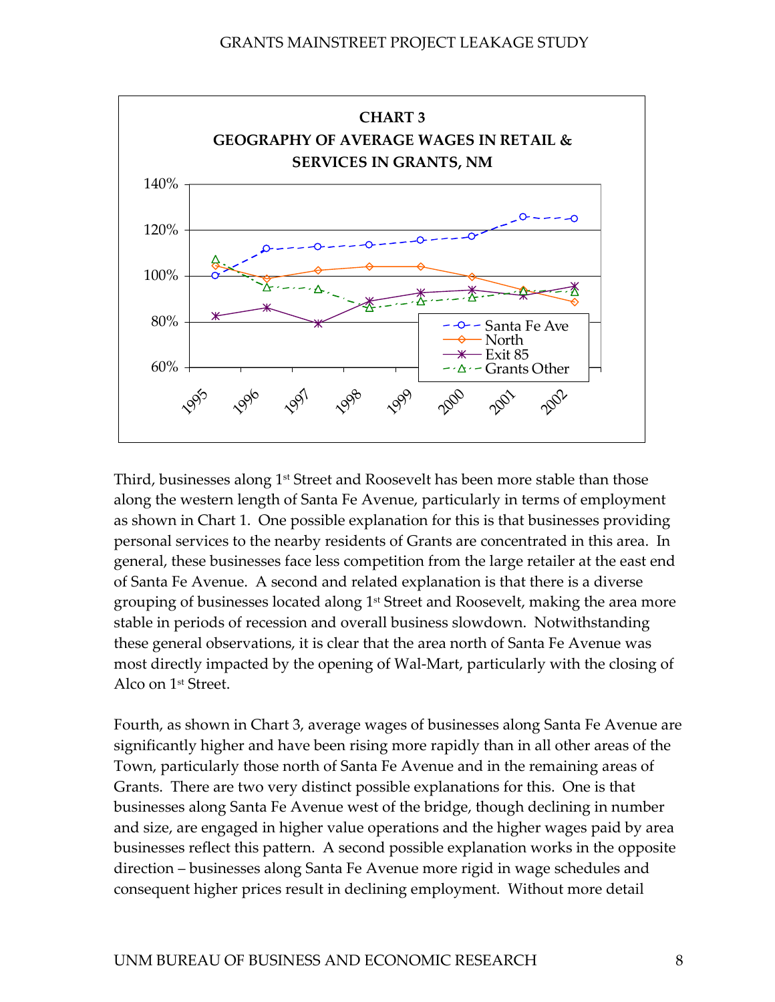

Third, businesses along 1<sup>st</sup> Street and Roosevelt has been more stable than those along the western length of Santa Fe Avenue, particularly in terms of employment as shown in Chart 1. One possible explanation for this is that businesses providing personal services to the nearby residents of Grants are concentrated in this area. In general, these businesses face less competition from the large retailer at the east end of Santa Fe Avenue. A second and related explanation is that there is a diverse grouping of businesses located along 1st Street and Roosevelt, making the area more stable in periods of recession and overall business slowdown. Notwithstanding these general observations, it is clear that the area north of Santa Fe Avenue was most directly impacted by the opening of Wal-Mart, particularly with the closing of Alco on 1st Street.

Fourth, as shown in Chart 3, average wages of businesses along Santa Fe Avenue are significantly higher and have been rising more rapidly than in all other areas of the Town, particularly those north of Santa Fe Avenue and in the remaining areas of Grants. There are two very distinct possible explanations for this. One is that businesses along Santa Fe Avenue west of the bridge, though declining in number and size, are engaged in higher value operations and the higher wages paid by area businesses reflect this pattern. A second possible explanation works in the opposite direction – businesses along Santa Fe Avenue more rigid in wage schedules and consequent higher prices result in declining employment. Without more detail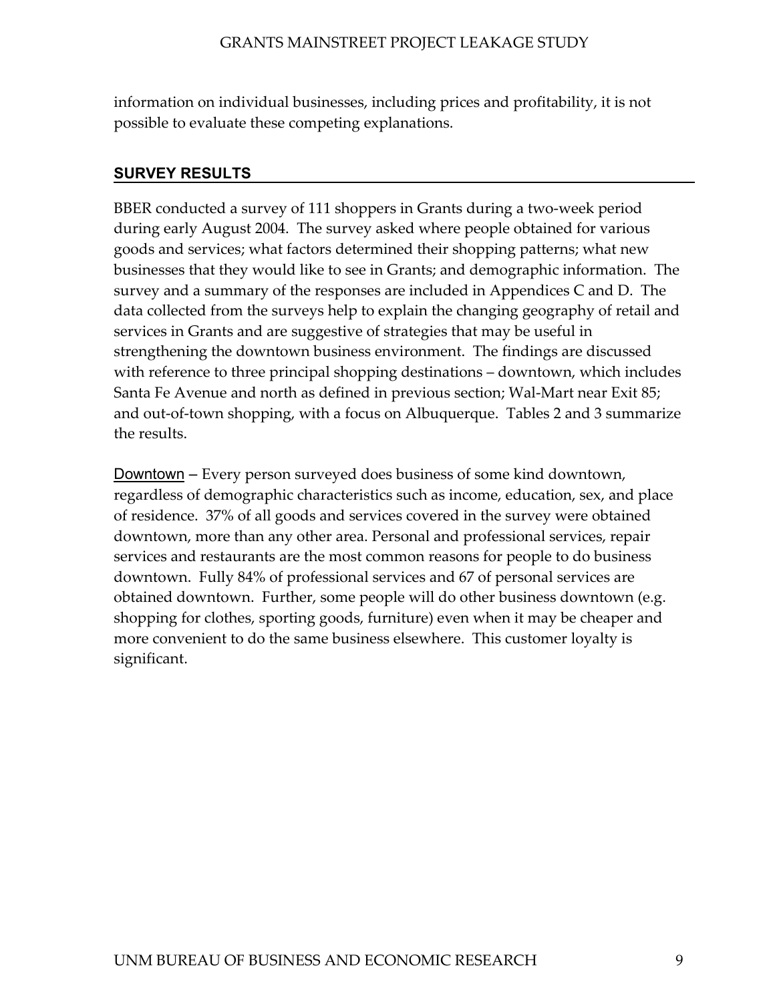<span id="page-17-0"></span>information on individual businesses, including prices and profitability, it is not possible to evaluate these competing explanations.

## **SURVEY RESULTS**

BBER conducted a survey of 111 shoppers in Grants during a two-week period during early August 2004. The survey asked where people obtained for various goods and services; what factors determined their shopping patterns; what new businesses that they would like to see in Grants; and demographic information. The survey and a summary of the responses are included in Appendices C and D. The data collected from the surveys help to explain the changing geography of retail and services in Grants and are suggestive of strategies that may be useful in strengthening the downtown business environment. The findings are discussed with reference to three principal shopping destinations – downtown, which includes Santa Fe Avenue and north as defined in previous section; Wal-Mart near Exit 85; and out-of-town shopping, with a focus on Albuquerque. Tables 2 and 3 summarize the results.

Downtown – Every person surveyed does business of some kind downtown, regardless of demographic characteristics such as income, education, sex, and place of residence. 37% of all goods and services covered in the survey were obtained downtown, more than any other area. Personal and professional services, repair services and restaurants are the most common reasons for people to do business downtown. Fully 84% of professional services and 67 of personal services are obtained downtown. Further, some people will do other business downtown (e.g. shopping for clothes, sporting goods, furniture) even when it may be cheaper and more convenient to do the same business elsewhere. This customer loyalty is significant.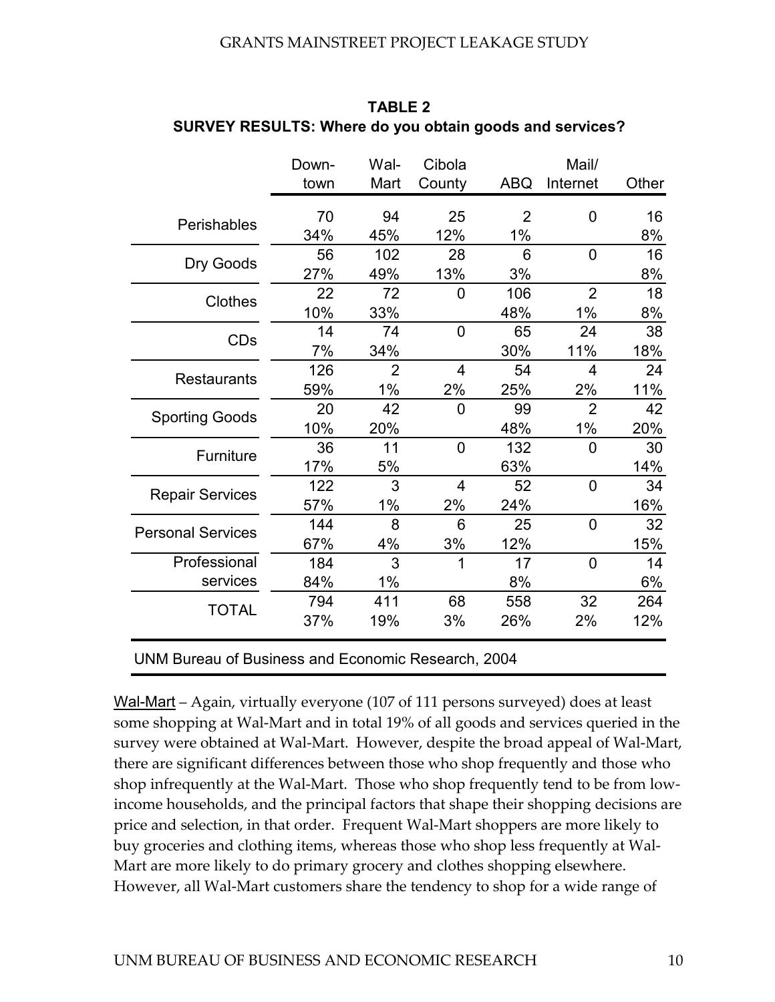|                          | Down-<br>town | Wal-<br>Mart   | Cibola<br>County | <b>ABQ</b>     | Mail/<br>Internet | Other |
|--------------------------|---------------|----------------|------------------|----------------|-------------------|-------|
|                          |               |                |                  |                |                   |       |
| Perishables              | 70            | 94             | 25               | $\overline{2}$ | 0                 | 16    |
|                          | 34%           | 45%            | 12%              | 1%             |                   | 8%    |
| Dry Goods                | 56            | 102            | 28               | 6              | $\mathbf 0$       | 16    |
|                          | 27%           | 49%            | 13%              | 3%             |                   | 8%    |
| Clothes                  | 22            | 72             | $\mathbf 0$      | 106            | $\overline{2}$    | 18    |
|                          | 10%           | 33%            |                  | 48%            | $1\%$             | 8%    |
| <b>CDs</b>               | 14            | 74             | $\mathbf 0$      | 65             | 24                | 38    |
|                          | 7%            | 34%            |                  | 30%            | 11%               | 18%   |
|                          | 126           | $\overline{2}$ | $\overline{4}$   | 54             | $\overline{4}$    | 24    |
| <b>Restaurants</b>       | 59%           | $1\%$          | 2%               | 25%            | 2%                | 11%   |
|                          | 20            | 42             | $\overline{0}$   | 99             | $\overline{2}$    | 42    |
| <b>Sporting Goods</b>    | 10%           | 20%            |                  | 48%            | $1\%$             | 20%   |
|                          | 36            | 11             | $\overline{0}$   | 132            | $\overline{0}$    | 30    |
| Furniture                | 17%           | 5%             |                  | 63%            |                   | 14%   |
|                          | 122           | 3              | 4                | 52             | $\overline{0}$    | 34    |
| <b>Repair Services</b>   | 57%           | 1%             | 2%               | 24%            |                   | 16%   |
|                          | 144           | 8              | 6                | 25             | $\overline{0}$    | 32    |
| <b>Personal Services</b> | 67%           | 4%             | 3%               | 12%            |                   | 15%   |
| Professional             | 184           | 3              | 1                | 17             | $\overline{0}$    | 14    |
| services                 | 84%           | $1\%$          |                  | 8%             |                   | 6%    |
|                          | 794           | 411            | 68               | 558            | 32                | 264   |
| <b>TOTAL</b>             | 37%           | 19%            | 3%               | 26%            | 2%                | 12%   |

**SURVEY RESULTS: Where do you obtain goods and services? TABLE 2**

UNM Bureau of Business and Economic Research, 2004

Wal-Mart – Again, virtually everyone (107 of 111 persons surveyed) does at least some shopping at Wal-Mart and in total 19% of all goods and services queried in the survey were obtained at Wal-Mart. However, despite the broad appeal of Wal-Mart, there are significant differences between those who shop frequently and those who shop infrequently at the Wal-Mart. Those who shop frequently tend to be from lowincome households, and the principal factors that shape their shopping decisions are price and selection, in that order. Frequent Wal-Mart shoppers are more likely to buy groceries and clothing items, whereas those who shop less frequently at Wal-Mart are more likely to do primary grocery and clothes shopping elsewhere. However, all Wal-Mart customers share the tendency to shop for a wide range of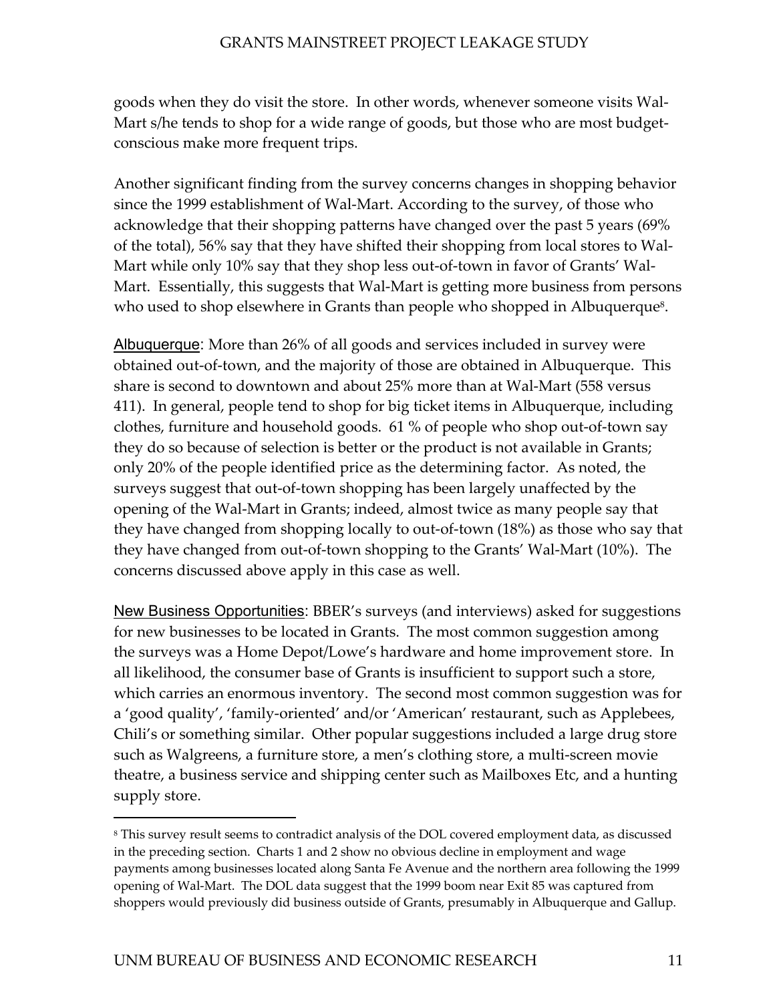goods when they do visit the store. In other words, whenever someone visits Wal-Mart s/he tends to shop for a wide range of goods, but those who are most budgetconscious make more frequent trips.

Another significant finding from the survey concerns changes in shopping behavior since the 1999 establishment of Wal-Mart. According to the survey, of those who acknowledge that their shopping patterns have changed over the past 5 years (69% of the total), 56% say that they have shifted their shopping from local stores to Wal-Mart while only 10% say that they shop less out-of-town in favor of Grants' Wal-Mart. Essentially, this suggests that Wal-Mart is getting more business from persons who used to shop elsewhere in Grants than people who shopped in Albuquerque<sup>8</sup>.

Albuquerque: More than 26% of all goods and services included in survey were obtained out-of-town, and the majority of those are obtained in Albuquerque. This share is second to downtown and about 25% more than at Wal-Mart (558 versus 411). In general, people tend to shop for big ticket items in Albuquerque, including clothes, furniture and household goods. 61 % of people who shop out-of-town say they do so because of selection is better or the product is not available in Grants; only 20% of the people identified price as the determining factor. As noted, the surveys suggest that out-of-town shopping has been largely unaffected by the opening of the Wal-Mart in Grants; indeed, almost twice as many people say that they have changed from shopping locally to out-of-town (18%) as those who say that they have changed from out-of-town shopping to the Grants' Wal-Mart (10%). The concerns discussed above apply in this case as well.

New Business Opportunities: BBER's surveys (and interviews) asked for suggestions for new businesses to be located in Grants. The most common suggestion among the surveys was a Home Depot/Lowe's hardware and home improvement store. In all likelihood, the consumer base of Grants is insufficient to support such a store, which carries an enormous inventory. The second most common suggestion was for a 'good quality', 'family-oriented' and/or 'American' restaurant, such as Applebees, Chili's or something similar. Other popular suggestions included a large drug store such as Walgreens, a furniture store, a men's clothing store, a multi-screen movie theatre, a business service and shipping center such as Mailboxes Etc, and a hunting supply store.

-

<span id="page-19-0"></span><sup>8</sup> This survey result seems to contradict analysis of the DOL covered employment data, as discussed in the preceding section. Charts 1 and 2 show no obvious decline in employment and wage payments among businesses located along Santa Fe Avenue and the northern area following the 1999 opening of Wal-Mart. The DOL data suggest that the 1999 boom near Exit 85 was captured from shoppers would previously did business outside of Grants, presumably in Albuquerque and Gallup.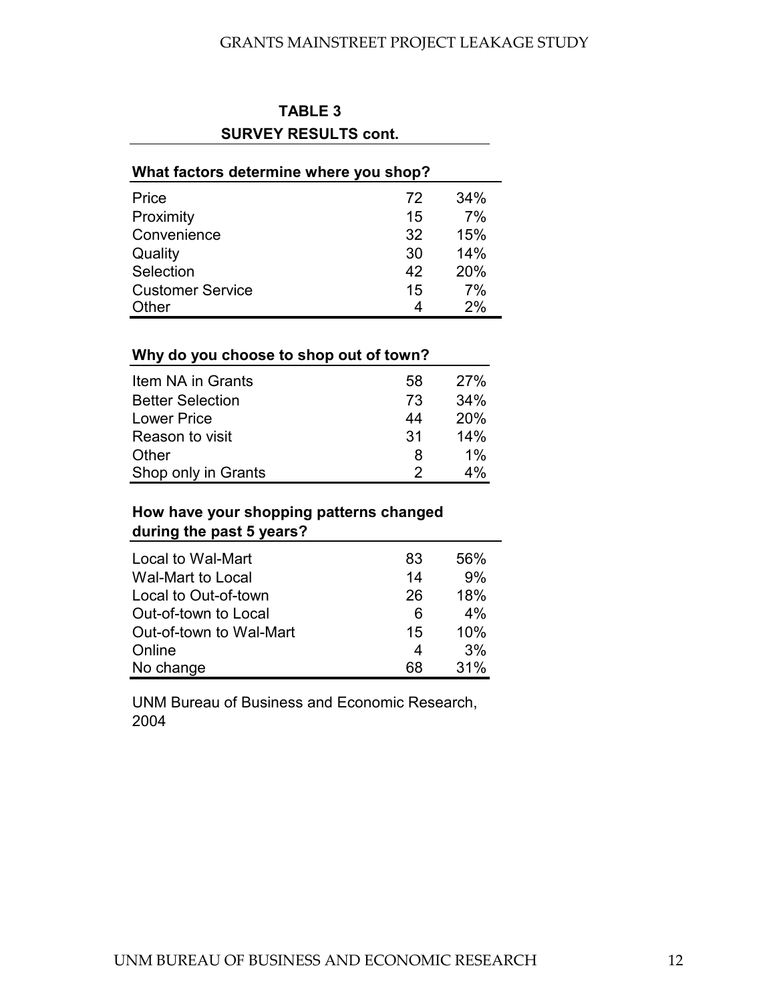| <b>TABLE 3</b>              |
|-----------------------------|
| <b>SURVEY RESULTS cont.</b> |

## Price 234% Proximity 15 7% Convenience 32 15% Quality 30 14% Selection 42 20% Customer Service 15 7%<br>Other 15 2% **What factors determine where you shop?**

Other 4 2%

### **Why do you choose to shop out of town?**

| Item NA in Grants       | 58 | 27%        |
|-------------------------|----|------------|
| <b>Better Selection</b> | 73 | 34%        |
| <b>Lower Price</b>      | 44 | <b>20%</b> |
| Reason to visit         | 31 | 14%        |
| Other                   | 8  | $1\%$      |
| Shop only in Grants     | 2  | 4%         |

## **How have your shopping patterns changed during the past 5 years?**

| Local to Wal-Mart       | 83 | 56% |
|-------------------------|----|-----|
| Wal-Mart to Local       | 14 | 9%  |
| Local to Out-of-town    | 26 | 18% |
| Out-of-town to Local    | 6  | 4%  |
| Out-of-town to Wal-Mart | 15 | 10% |
| Online                  | 4  | 3%  |
| No change               | 68 | 31% |

UNM Bureau of Business and Economic Research, 2004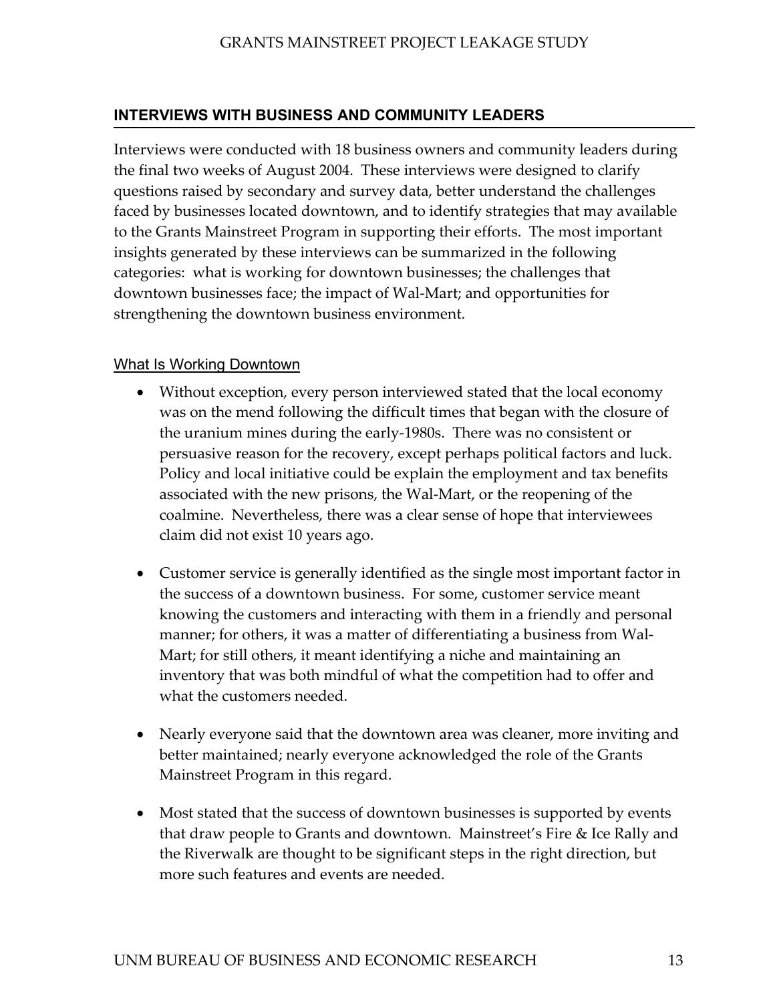## <span id="page-21-0"></span>**INTERVIEWS WITH BUSINESS AND COMMUNITY LEADERS**

Interviews were conducted with 18 business owners and community leaders during the final two weeks of August 2004. These interviews were designed to clarify questions raised by secondary and survey data, better understand the challenges faced by businesses located downtown, and to identify strategies that may available to the Grants Mainstreet Program in supporting their efforts. The most important insights generated by these interviews can be summarized in the following categories: what is working for downtown businesses; the challenges that downtown businesses face; the impact of Wal-Mart; and opportunities for strengthening the downtown business environment.

## What Is Working Downtown

- Without exception, every person interviewed stated that the local economy was on the mend following the difficult times that began with the closure of the uranium mines during the early-1980s. There was no consistent or persuasive reason for the recovery, except perhaps political factors and luck. Policy and local initiative could be explain the employment and tax benefits associated with the new prisons, the Wal-Mart, or the reopening of the coalmine. Nevertheless, there was a clear sense of hope that interviewees claim did not exist 10 years ago.
- Customer service is generally identified as the single most important factor in the success of a downtown business. For some, customer service meant knowing the customers and interacting with them in a friendly and personal manner; for others, it was a matter of differentiating a business from Wal-Mart; for still others, it meant identifying a niche and maintaining an inventory that was both mindful of what the competition had to offer and what the customers needed.
- Nearly everyone said that the downtown area was cleaner, more inviting and better maintained; nearly everyone acknowledged the role of the Grants Mainstreet Program in this regard.
- Most stated that the success of downtown businesses is supported by events that draw people to Grants and downtown. Mainstreet's Fire & Ice Rally and the Riverwalk are thought to be significant steps in the right direction, but more such features and events are needed.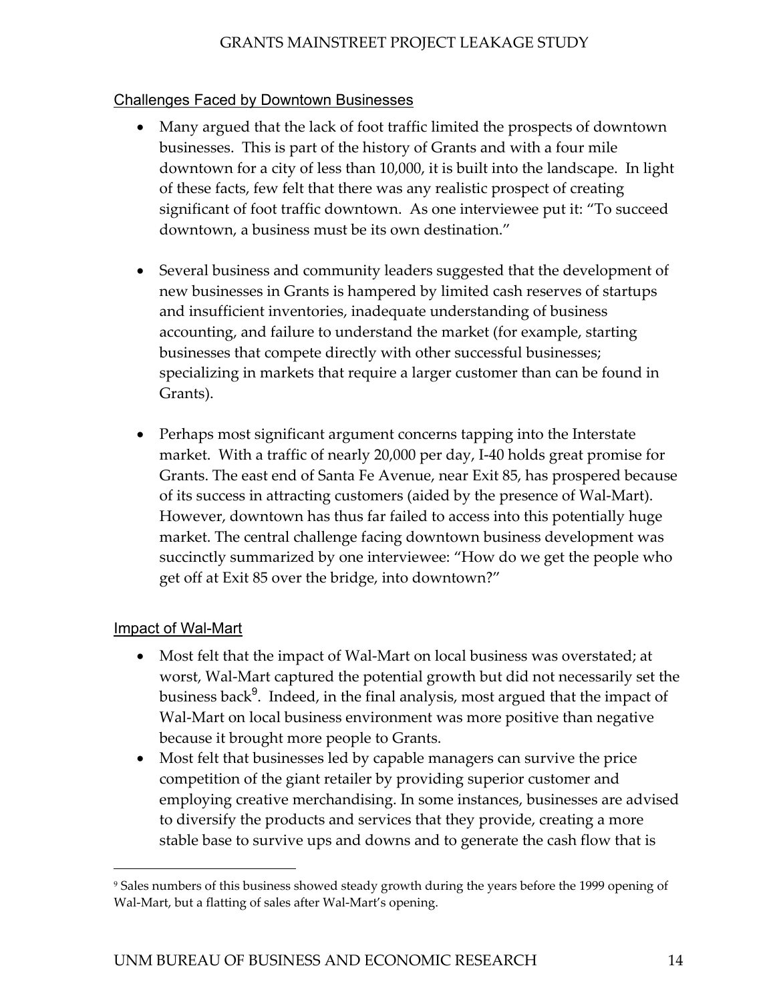## Challenges Faced by Downtown Businesses

- Many argued that the lack of foot traffic limited the prospects of downtown businesses. This is part of the history of Grants and with a four mile downtown for a city of less than 10,000, it is built into the landscape. In light of these facts, few felt that there was any realistic prospect of creating significant of foot traffic downtown. As one interviewee put it: "To succeed downtown, a business must be its own destination."
- Several business and community leaders suggested that the development of new businesses in Grants is hampered by limited cash reserves of startups and insufficient inventories, inadequate understanding of business accounting, and failure to understand the market (for example, starting businesses that compete directly with other successful businesses; specializing in markets that require a larger customer than can be found in Grants).
- Perhaps most significant argument concerns tapping into the Interstate market. With a traffic of nearly 20,000 per day, I-40 holds great promise for Grants. The east end of Santa Fe Avenue, near Exit 85, has prospered because of its success in attracting customers (aided by the presence of Wal-Mart). However, downtown has thus far failed to access into this potentially huge market. The central challenge facing downtown business development was succinctly summarized by one interviewee: "How do we get the people who get off at Exit 85 over the bridge, into downtown?"

## Impact of Wal-Mart

 $\overline{a}$ 

- Most felt that the impact of Wal-Mart on local business was overstated; at worst, Wal-Mart captured the potential growth but did not necessarily set the business back<sup>[9](#page-22-0)</sup>. Indeed, in the final analysis, most argued that the impact of Wal-Mart on local business environment was more positive than negative because it brought more people to Grants.
- Most felt that businesses led by capable managers can survive the price competition of the giant retailer by providing superior customer and employing creative merchandising. In some instances, businesses are advised to diversify the products and services that they provide, creating a more stable base to survive ups and downs and to generate the cash flow that is

<span id="page-22-0"></span><sup>9</sup> Sales numbers of this business showed steady growth during the years before the 1999 opening of Wal-Mart, but a flatting of sales after Wal-Mart's opening.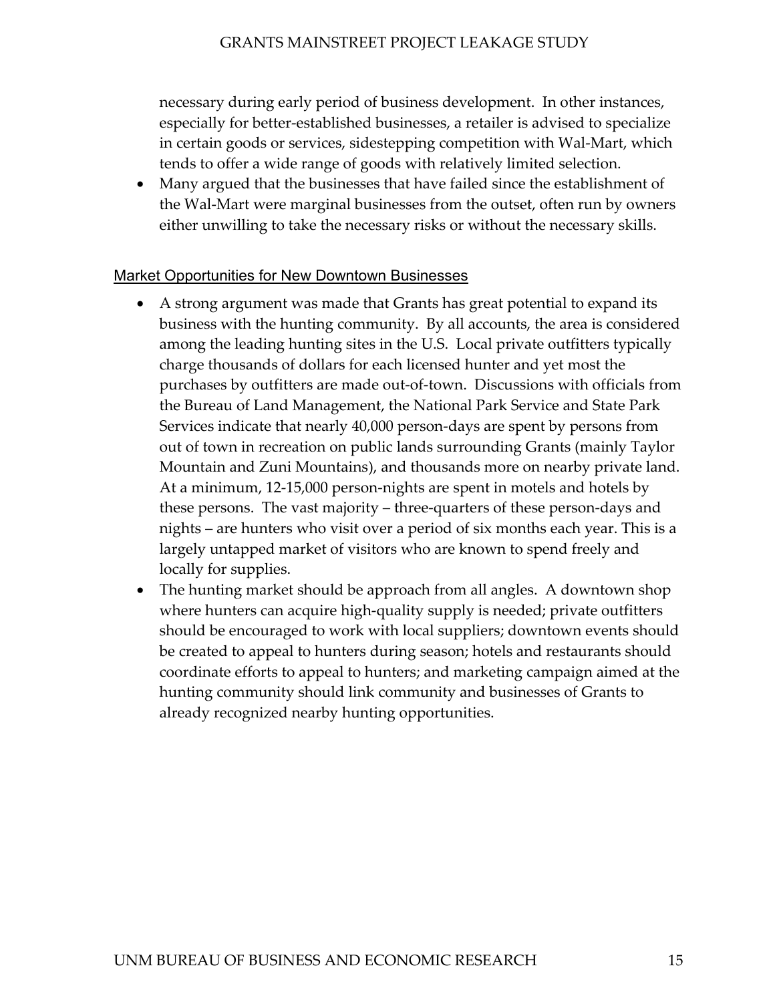necessary during early period of business development. In other instances, especially for better-established businesses, a retailer is advised to specialize in certain goods or services, sidestepping competition with Wal-Mart, which tends to offer a wide range of goods with relatively limited selection.

• Many argued that the businesses that have failed since the establishment of the Wal-Mart were marginal businesses from the outset, often run by owners either unwilling to take the necessary risks or without the necessary skills.

## Market Opportunities for New Downtown Businesses

- A strong argument was made that Grants has great potential to expand its business with the hunting community. By all accounts, the area is considered among the leading hunting sites in the U.S. Local private outfitters typically charge thousands of dollars for each licensed hunter and yet most the purchases by outfitters are made out-of-town. Discussions with officials from the Bureau of Land Management, the National Park Service and State Park Services indicate that nearly 40,000 person-days are spent by persons from out of town in recreation on public lands surrounding Grants (mainly Taylor Mountain and Zuni Mountains), and thousands more on nearby private land. At a minimum, 12-15,000 person-nights are spent in motels and hotels by these persons. The vast majority – three-quarters of these person-days and nights – are hunters who visit over a period of six months each year. This is a largely untapped market of visitors who are known to spend freely and locally for supplies.
- The hunting market should be approach from all angles. A downtown shop where hunters can acquire high-quality supply is needed; private outfitters should be encouraged to work with local suppliers; downtown events should be created to appeal to hunters during season; hotels and restaurants should coordinate efforts to appeal to hunters; and marketing campaign aimed at the hunting community should link community and businesses of Grants to already recognized nearby hunting opportunities.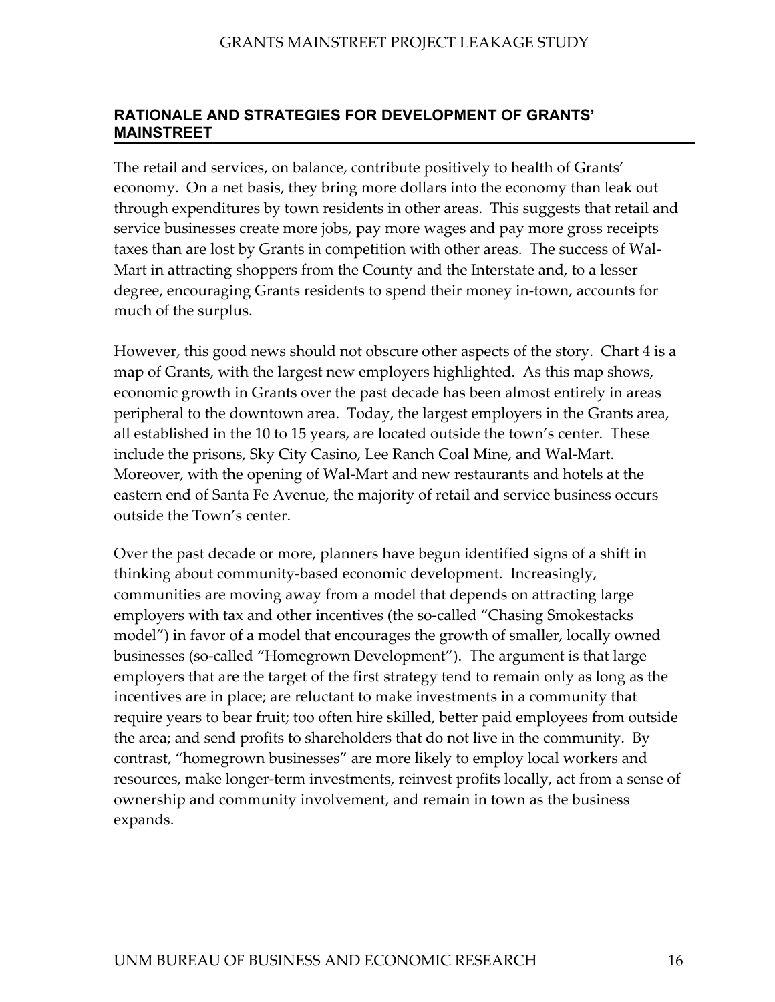## <span id="page-24-0"></span>**RATIONALE AND STRATEGIES FOR DEVELOPMENT OF GRANTS' MAINSTREET**

The retail and services, on balance, contribute positively to health of Grants' economy. On a net basis, they bring more dollars into the economy than leak out through expenditures by town residents in other areas. This suggests that retail and service businesses create more jobs, pay more wages and pay more gross receipts taxes than are lost by Grants in competition with other areas. The success of Wal-Mart in attracting shoppers from the County and the Interstate and, to a lesser degree, encouraging Grants residents to spend their money in-town, accounts for much of the surplus.

However, this good news should not obscure other aspects of the story. Chart 4 is a map of Grants, with the largest new employers highlighted. As this map shows, economic growth in Grants over the past decade has been almost entirely in areas peripheral to the downtown area. Today, the largest employers in the Grants area, all established in the 10 to 15 years, are located outside the town's center. These include the prisons, Sky City Casino, Lee Ranch Coal Mine, and Wal-Mart. Moreover, with the opening of Wal-Mart and new restaurants and hotels at the eastern end of Santa Fe Avenue, the majority of retail and service business occurs outside the Town's center.

Over the past decade or more, planners have begun identified signs of a shift in thinking about community-based economic development. Increasingly, communities are moving away from a model that depends on attracting large employers with tax and other incentives (the so-called "Chasing Smokestacks model") in favor of a model that encourages the growth of smaller, locally owned businesses (so-called "Homegrown Development"). The argument is that large employers that are the target of the first strategy tend to remain only as long as the incentives are in place; are reluctant to make investments in a community that require years to bear fruit; too often hire skilled, better paid employees from outside the area; and send profits to shareholders that do not live in the community. By contrast, "homegrown businesses" are more likely to employ local workers and resources, make longer-term investments, reinvest profits locally, act from a sense of ownership and community involvement, and remain in town as the business expands.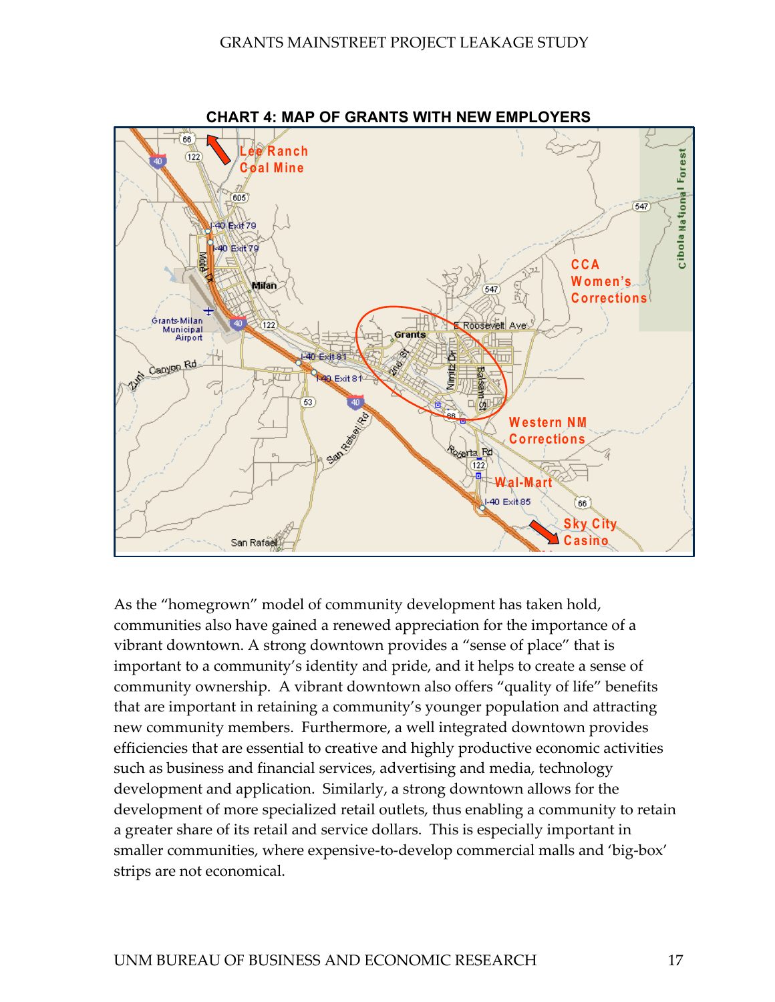

**CHART 4: MAP OF GRANTS WITH NEW EMPLOYERS** 

As the "homegrown" model of community development has taken hold, communities also have gained a renewed appreciation for the importance of a vibrant downtown. A strong downtown provides a "sense of place" that is important to a community's identity and pride, and it helps to create a sense of community ownership. A vibrant downtown also offers "quality of life" benefits that are important in retaining a community's younger population and attracting new community members. Furthermore, a well integrated downtown provides efficiencies that are essential to creative and highly productive economic activities such as business and financial services, advertising and media, technology development and application. Similarly, a strong downtown allows for the development of more specialized retail outlets, thus enabling a community to retain a greater share of its retail and service dollars. This is especially important in smaller communities, where expensive-to-develop commercial malls and 'big-box' strips are not economical.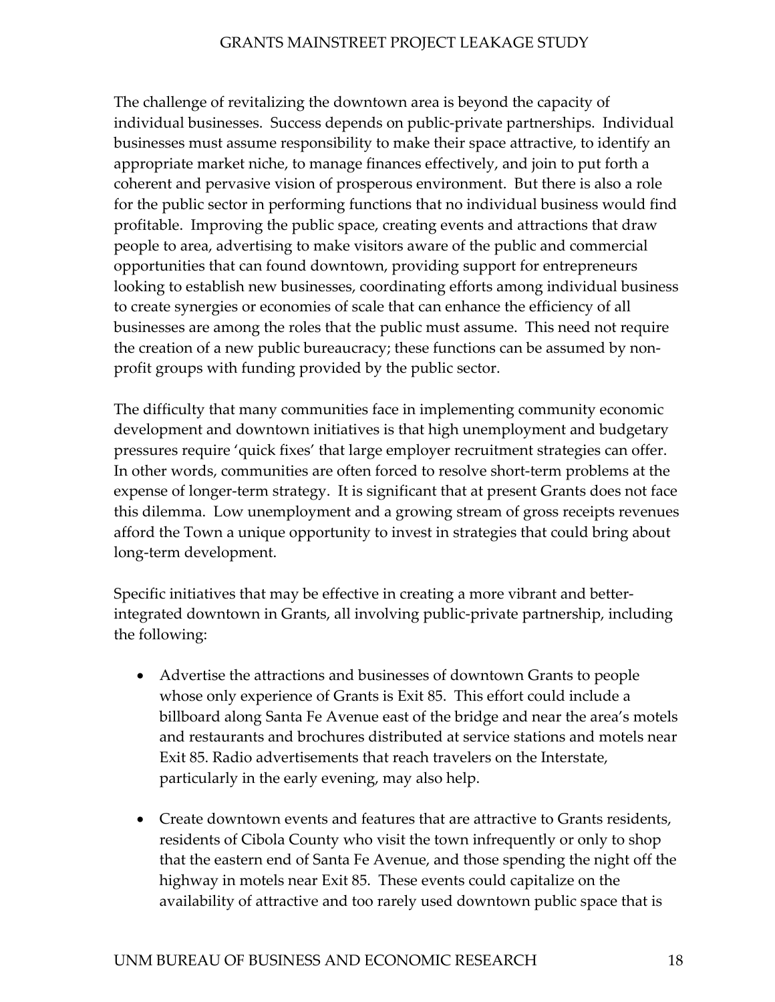The challenge of revitalizing the downtown area is beyond the capacity of individual businesses. Success depends on public-private partnerships. Individual businesses must assume responsibility to make their space attractive, to identify an appropriate market niche, to manage finances effectively, and join to put forth a coherent and pervasive vision of prosperous environment. But there is also a role for the public sector in performing functions that no individual business would find profitable. Improving the public space, creating events and attractions that draw people to area, advertising to make visitors aware of the public and commercial opportunities that can found downtown, providing support for entrepreneurs looking to establish new businesses, coordinating efforts among individual business to create synergies or economies of scale that can enhance the efficiency of all businesses are among the roles that the public must assume. This need not require the creation of a new public bureaucracy; these functions can be assumed by nonprofit groups with funding provided by the public sector.

The difficulty that many communities face in implementing community economic development and downtown initiatives is that high unemployment and budgetary pressures require 'quick fixes' that large employer recruitment strategies can offer. In other words, communities are often forced to resolve short-term problems at the expense of longer-term strategy. It is significant that at present Grants does not face this dilemma. Low unemployment and a growing stream of gross receipts revenues afford the Town a unique opportunity to invest in strategies that could bring about long-term development.

Specific initiatives that may be effective in creating a more vibrant and betterintegrated downtown in Grants, all involving public-private partnership, including the following:

- Advertise the attractions and businesses of downtown Grants to people whose only experience of Grants is Exit 85. This effort could include a billboard along Santa Fe Avenue east of the bridge and near the area's motels and restaurants and brochures distributed at service stations and motels near Exit 85. Radio advertisements that reach travelers on the Interstate, particularly in the early evening, may also help.
- Create downtown events and features that are attractive to Grants residents, residents of Cibola County who visit the town infrequently or only to shop that the eastern end of Santa Fe Avenue, and those spending the night off the highway in motels near Exit 85. These events could capitalize on the availability of attractive and too rarely used downtown public space that is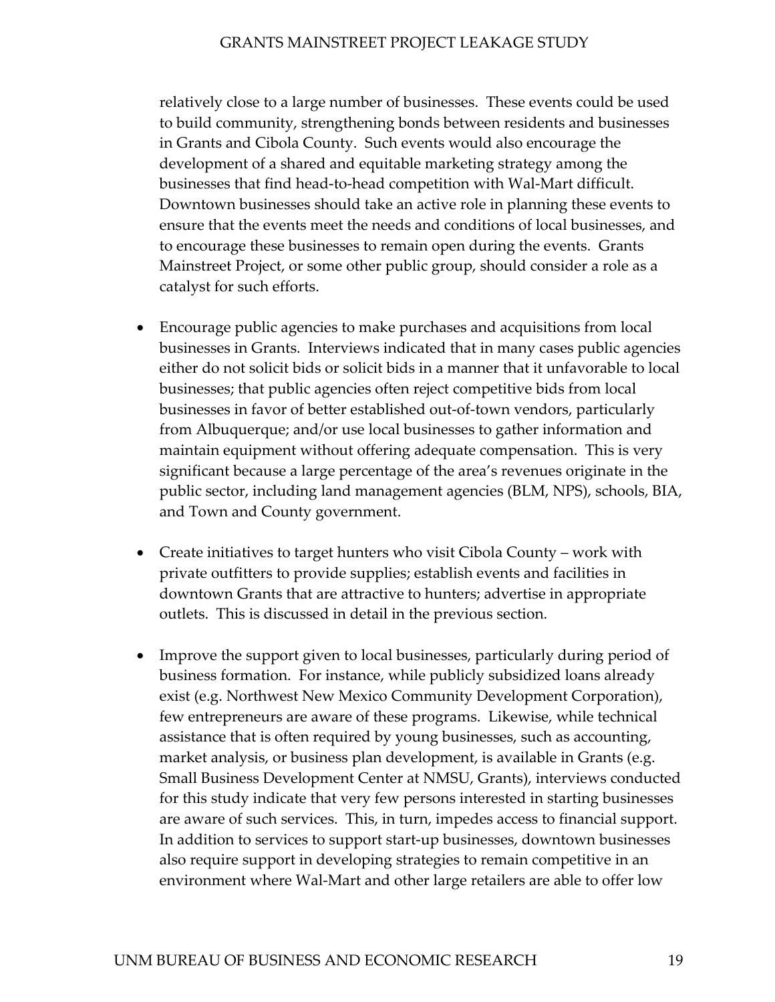relatively close to a large number of businesses. These events could be used to build community, strengthening bonds between residents and businesses in Grants and Cibola County. Such events would also encourage the development of a shared and equitable marketing strategy among the businesses that find head-to-head competition with Wal-Mart difficult. Downtown businesses should take an active role in planning these events to ensure that the events meet the needs and conditions of local businesses, and to encourage these businesses to remain open during the events. Grants Mainstreet Project, or some other public group, should consider a role as a catalyst for such efforts.

- Encourage public agencies to make purchases and acquisitions from local businesses in Grants. Interviews indicated that in many cases public agencies either do not solicit bids or solicit bids in a manner that it unfavorable to local businesses; that public agencies often reject competitive bids from local businesses in favor of better established out-of-town vendors, particularly from Albuquerque; and/or use local businesses to gather information and maintain equipment without offering adequate compensation. This is very significant because a large percentage of the area's revenues originate in the public sector, including land management agencies (BLM, NPS), schools, BIA, and Town and County government. •
- Create initiatives to target hunters who visit Cibola County work with private outfitters to provide supplies; establish events and facilities in downtown Grants that are attractive to hunters; advertise in appropriate outlets. This is discussed in detail in the previous section.
- Improve the support given to local businesses, particularly during period of business formation. For instance, while publicly subsidized loans already exist (e.g. Northwest New Mexico Community Development Corporation), few entrepreneurs are aware of these programs. Likewise, while technical assistance that is often required by young businesses, such as accounting, market analysis, or business plan development, is available in Grants (e.g. Small Business Development Center at NMSU, Grants), interviews conducted for this study indicate that very few persons interested in starting businesses are aware of such services. This, in turn, impedes access to financial support. In addition to services to support start-up businesses, downtown businesses also require support in developing strategies to remain competitive in an environment where Wal-Mart and other large retailers are able to offer low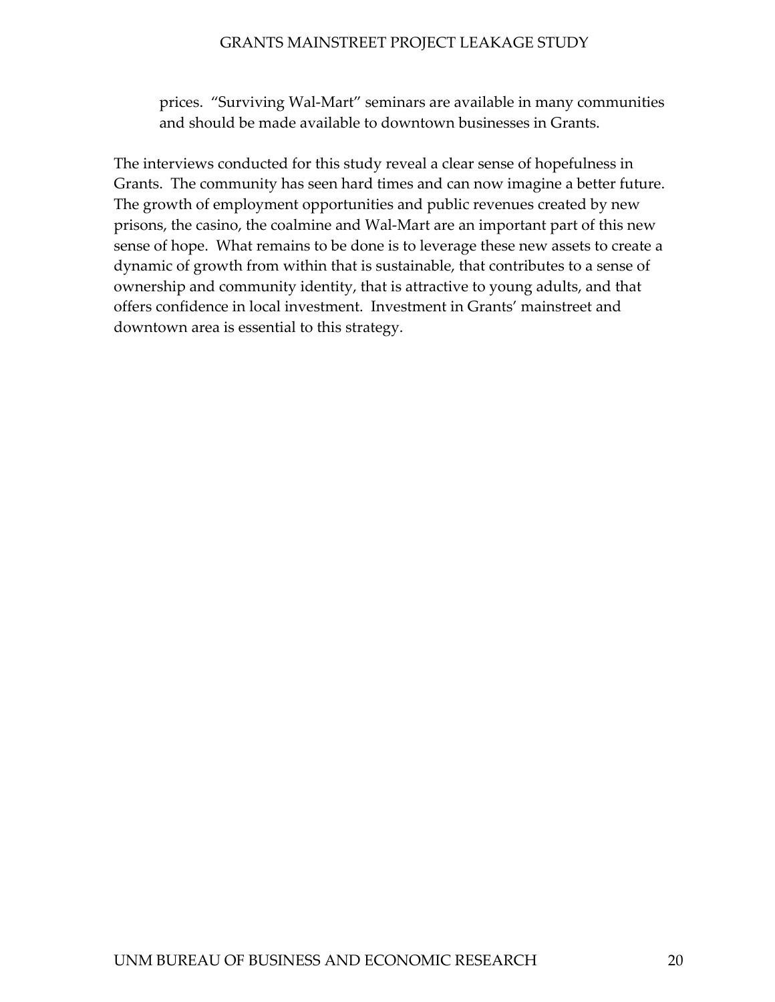prices. "Surviving Wal-Mart" seminars are available in many communities and should be made available to downtown businesses in Grants.

The interviews conducted for this study reveal a clear sense of hopefulness in Grants. The community has seen hard times and can now imagine a better future. The growth of employment opportunities and public revenues created by new prisons, the casino, the coalmine and Wal-Mart are an important part of this new sense of hope. What remains to be done is to leverage these new assets to create a dynamic of growth from within that is sustainable, that contributes to a sense of ownership and community identity, that is attractive to young adults, and that offers confidence in local investment. Investment in Grants' mainstreet and downtown area is essential to this strategy.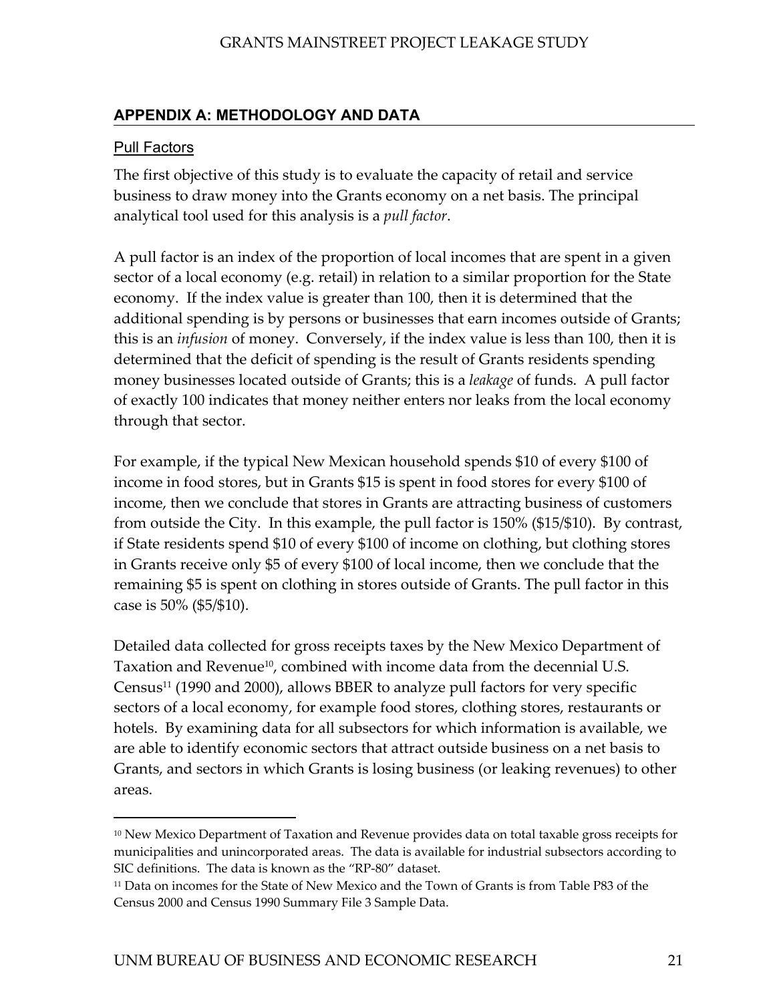## <span id="page-29-0"></span>**APPENDIX A: METHODOLOGY AND DATA**

### Pull Factors

 $\overline{a}$ 

The first objective of this study is to evaluate the capacity of retail and service business to draw money into the Grants economy on a net basis. The principal analytical tool used for this analysis is a *pull factor*.

A pull factor is an index of the proportion of local incomes that are spent in a given sector of a local economy (e.g. retail) in relation to a similar proportion for the State economy. If the index value is greater than 100, then it is determined that the additional spending is by persons or businesses that earn incomes outside of Grants; this is an *infusion* of money. Conversely, if the index value is less than 100, then it is determined that the deficit of spending is the result of Grants residents spending money businesses located outside of Grants; this is a *leakage* of funds. A pull factor of exactly 100 indicates that money neither enters nor leaks from the local economy through that sector.

For example, if the typical New Mexican household spends \$10 of every \$100 of income in food stores, but in Grants \$15 is spent in food stores for every \$100 of income, then we conclude that stores in Grants are attracting business of customers from outside the City. In this example, the pull factor is 150% (\$15/\$10). By contrast, if State residents spend \$10 of every \$100 of income on clothing, but clothing stores in Grants receive only \$5 of every \$100 of local income, then we conclude that the remaining \$5 is spent on clothing in stores outside of Grants. The pull factor in this case is 50% (\$5/\$10).

Detailed data collected for gross receipts taxes by the New Mexico Department of Taxation and Revenue<sup>10</sup>, combined with income data from the decennial U.S. Census[11 \(](#page-29-2)1990 and 2000), allows BBER to analyze pull factors for very specific sectors of a local economy, for example food stores, clothing stores, restaurants or hotels. By examining data for all subsectors for which information is available, we are able to identify economic sectors that attract outside business on a net basis to Grants, and sectors in which Grants is losing business (or leaking revenues) to other areas.

<span id="page-29-1"></span><sup>&</sup>lt;sup>10</sup> New Mexico Department of Taxation and Revenue provides data on total taxable gross receipts for municipalities and unincorporated areas. The data is available for industrial subsectors according to SIC definitions. The data is known as the "RP-80" dataset.

<span id="page-29-2"></span><sup>&</sup>lt;sup>11</sup> Data on incomes for the State of New Mexico and the Town of Grants is from Table P83 of the Census 2000 and Census 1990 Summary File 3 Sample Data.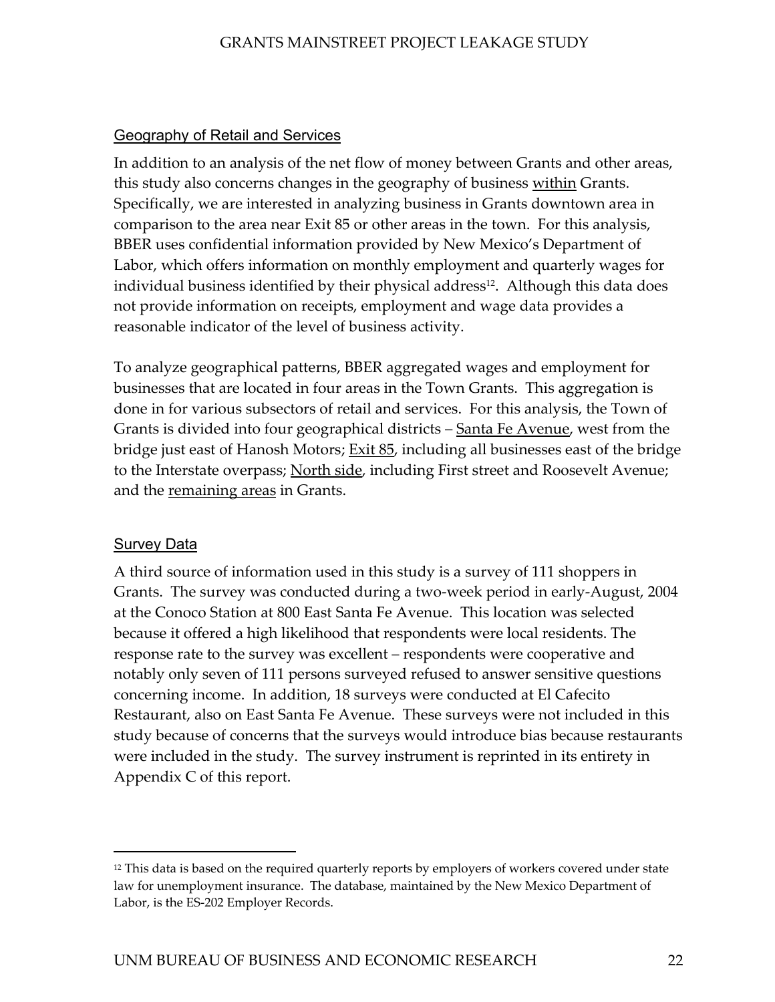## Geography of Retail and Services

In addition to an analysis of the net flow of money between Grants and other areas, this study also concerns changes in the geography of business within Grants. Specifically, we are interested in analyzing business in Grants downtown area in comparison to the area near Exit 85 or other areas in the town. For this analysis, BBER uses confidential information provided by New Mexico's Department of Labor, which offers information on monthly employment and quarterly wages for individual business identified by their physical address<sup>12</sup>. Although this data does not provide information on receipts, employment and wage data provides a reasonable indicator of the level of business activity.

To analyze geographical patterns, BBER aggregated wages and employment for businesses that are located in four areas in the Town Grants. This aggregation is done in for various subsectors of retail and services. For this analysis, the Town of Grants is divided into four geographical districts – <u>Santa Fe Avenue</u>, west from the bridge just east of Hanosh Motors; <u>Exit 85</u>, including all businesses east of the bridge to the Interstate overpass; North side, including First street and Roosevelt Avenue; and the remaining areas in Grants.

## Survey Data

l

A third source of information used in this study is a survey of 111 shoppers in Grants. The survey was conducted during a two-week period in early-August, 2004 at the Conoco Station at 800 East Santa Fe Avenue. This location was selected because it offered a high likelihood that respondents were local residents. The response rate to the survey was excellent – respondents were cooperative and notably only seven of 111 persons surveyed refused to answer sensitive questions concerning income. In addition, 18 surveys were conducted at El Cafecito Restaurant, also on East Santa Fe Avenue. These surveys were not included in this study because of concerns that the surveys would introduce bias because restaurants were included in the study. The survey instrument is reprinted in its entirety in Appendix C of this report.

<span id="page-30-0"></span><sup>&</sup>lt;sup>12</sup> This data is based on the required quarterly reports by employers of workers covered under state law for unemployment insurance. The database, maintained by the New Mexico Department of Labor, is the ES-202 Employer Records.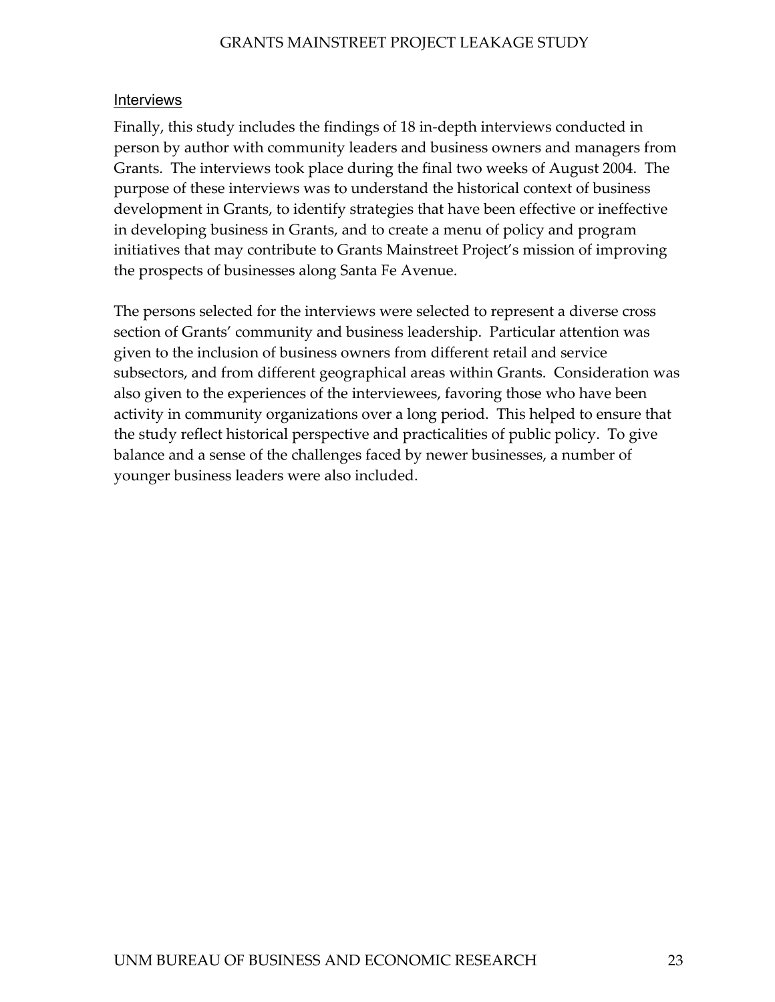#### Interviews

Finally, this study includes the findings of 18 in-depth interviews conducted in person by author with community leaders and business owners and managers from Grants. The interviews took place during the final two weeks of August 2004. The purpose of these interviews was to understand the historical context of business development in Grants, to identify strategies that have been effective or ineffective in developing business in Grants, and to create a menu of policy and program initiatives that may contribute to Grants Mainstreet Project's mission of improving the prospects of businesses along Santa Fe Avenue.

The persons selected for the interviews were selected to represent a diverse cross section of Grants' community and business leadership. Particular attention was given to the inclusion of business owners from different retail and service subsectors, and from different geographical areas within Grants. Consideration was also given to the experiences of the interviewees, favoring those who have been activity in community organizations over a long period. This helped to ensure that the study reflect historical perspective and practicalities of public policy. To give balance and a sense of the challenges faced by newer businesses, a number of younger business leaders were also included.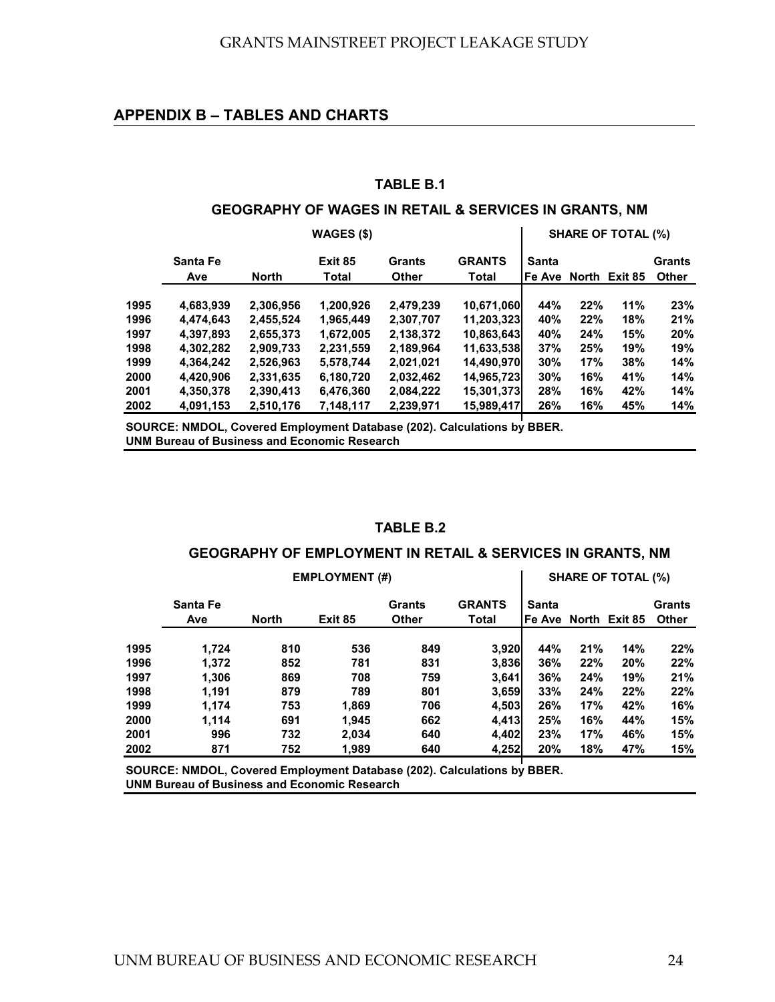#### <span id="page-32-0"></span>**APPENDIX B – TABLES AND CHARTS**

#### **TABLE B.1**

#### **GEOGRAPHY OF WAGES IN RETAIL & SERVICES IN GRANTS, NM**

|      | WAGES (\$)      |              |                  |                        |                               |                 | <b>SHARE OF TOTAL (%)</b> |               |                               |  |
|------|-----------------|--------------|------------------|------------------------|-------------------------------|-----------------|---------------------------|---------------|-------------------------------|--|
|      | Santa Fe<br>Ave | <b>North</b> | Exit 85<br>Total | Grants<br><b>Other</b> | <b>GRANTS</b><br><b>Total</b> | Santa<br>Fe Ave |                           | North Exit 85 | <b>Grants</b><br><b>Other</b> |  |
| 1995 | 4,683,939       | 2,306,956    | 1,200,926        | 2,479,239              |                               | 44%             | 22%                       | 11%           | 23%                           |  |
| 1996 | 4,474,643       | 2,455,524    | 1,965,449        | 2,307,707              | 10,671,060<br>11,203,323      | 40%             | 22%                       | 18%           | 21%                           |  |
| 1997 | 4,397,893       | 2,655,373    | 1,672,005        | 2,138,372              | 10,863,643                    | 40%             | 24%                       | 15%           | 20%                           |  |
| 1998 | 4,302,282       | 2,909,733    | 2,231,559        | 2,189,964              | 11,633,538                    | 37%             | 25%                       | 19%           | 19%                           |  |
| 1999 | 4,364,242       | 2,526,963    | 5,578,744        | 2,021,021              | 14,490,970                    | 30%             | 17%                       | 38%           | 14%                           |  |
| 2000 | 4,420,906       | 2,331,635    | 6,180,720        | 2,032,462              | 14,965,723                    | 30%             | 16%                       | 41%           | 14%                           |  |
| 2001 | 4,350,378       | 2,390,413    | 6,476,360        | 2,084,222              | 15,301,373                    | 28%             | 16%                       | 42%           | 14%                           |  |
| 2002 | 4,091,153       | 2,510,176    | 7,148,117        | 2,239,971              | 15,989,417                    | 26%             | 16%                       | 45%           | 14%                           |  |

**SOURCE: NMDOL, Covered Employment Database (202). Calculations by BBER. UNM Bureau of Business and Economic Research**

#### **TABLE B.2**

#### **GEOGRAPHY OF EMPLOYMENT IN RETAIL & SERVICES IN GRANTS, NM**

|      | <b>EMPLOYMENT (#)</b>                             |              |         |              |              |                      | <b>SHARE OF TOTAL (%)</b> |               |              |  |
|------|---------------------------------------------------|--------------|---------|--------------|--------------|----------------------|---------------------------|---------------|--------------|--|
|      | <b>GRANTS</b><br><b>Santa Fe</b><br><b>Grants</b> |              |         |              |              |                      |                           | <b>Grants</b> |              |  |
|      | Ave                                               | <b>North</b> | Exit 85 | <b>Other</b> | <b>Total</b> | Fe Ave North Exit 85 |                           |               | <b>Other</b> |  |
| 1995 | 1,724                                             | 810          | 536     | 849          | 3,920        | 44%                  | 21%                       | 14%           | 22%          |  |
| 1996 | 1.372                                             | 852          | 781     | 831          | 3,836        | 36%                  | 22%                       | 20%           | 22%          |  |
| 1997 | 1.306                                             | 869          | 708     | 759          | 3.641        | 36%                  | 24%                       | 19%           | 21%          |  |
| 1998 | 1.191                                             | 879          | 789     | 801          | 3,659        | 33%                  | 24%                       | 22%           | 22%          |  |
| 1999 | 1.174                                             | 753          | 1,869   | 706          | 4,503        | 26%                  | 17%                       | 42%           | 16%          |  |
| 2000 | 1.114                                             | 691          | 1.945   | 662          | 4.413        | 25%                  | 16%                       | 44%           | 15%          |  |
| 2001 | 996                                               | 732          | 2,034   | 640          | 4,402        | 23%                  | 17%                       | 46%           | 15%          |  |
| 2002 | 871                                               | 752          | 1,989   | 640          | 4,252        | 20%                  | 18%                       | 47%           | 15%          |  |

**SOURCE: NMDOL, Covered Employment Database (202). Calculations by BBER. UNM Bureau of Business and Economic Research**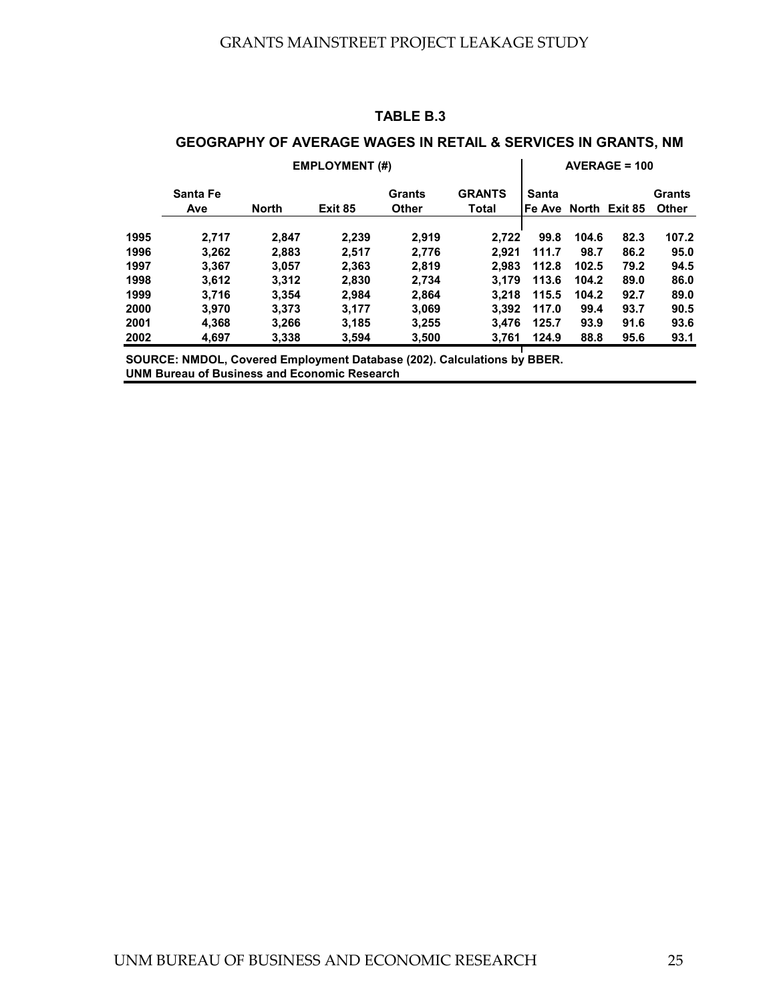### **TABLE B.3**

## **GEOGRAPHY OF AVERAGE WAGES IN RETAIL & SERVICES IN GRANTS, NM**

|      | <b>EMPLOYMENT (#)</b>                                                   |              |         |                               |                               |       |       | $AVERAGE = 100$      |                               |
|------|-------------------------------------------------------------------------|--------------|---------|-------------------------------|-------------------------------|-------|-------|----------------------|-------------------------------|
|      | Santa Fe<br>Ave                                                         | <b>North</b> | Exit 85 | <b>Grants</b><br><b>Other</b> | <b>GRANTS</b><br><b>Total</b> | Santa |       | Fe Ave North Exit 85 | <b>Grants</b><br><b>Other</b> |
| 1995 | 2.717                                                                   | 2,847        | 2.239   | 2.919                         | 2.722                         | 99.8  | 104.6 | 82.3                 | 107.2                         |
| 1996 | 3.262                                                                   | 2,883        | 2.517   | 2,776                         | 2.921                         | 111.7 | 98.7  | 86.2                 | 95.0                          |
| 1997 | 3.367                                                                   | 3.057        | 2,363   | 2,819                         | 2.983                         | 112.8 | 102.5 | 79.2                 | 94.5                          |
| 1998 | 3,612                                                                   | 3.312        | 2,830   | 2,734                         | 3.179                         | 113.6 | 104.2 | 89.0                 | 86.0                          |
| 1999 | 3.716                                                                   | 3.354        | 2.984   | 2.864                         | 3.218                         | 115.5 | 104.2 | 92.7                 | 89.0                          |
| 2000 | 3.970                                                                   | 3.373        | 3.177   | 3,069                         | 3.392                         | 117.0 | 99.4  | 93.7                 | 90.5                          |
| 2001 | 4,368                                                                   | 3,266        | 3,185   | 3,255                         | 3.476                         | 125.7 | 93.9  | 91.6                 | 93.6                          |
| 2002 | 4.697                                                                   | 3,338        | 3,594   | 3,500                         | 3.761                         | 124.9 | 88.8  | 95.6                 | 93.1                          |
|      | SOURCE: NMDOL, Covered Employment Database (202). Calculations by BBER. |              |         |                               |                               |       |       |                      |                               |

**UNM Bureau of Business and Economic Research**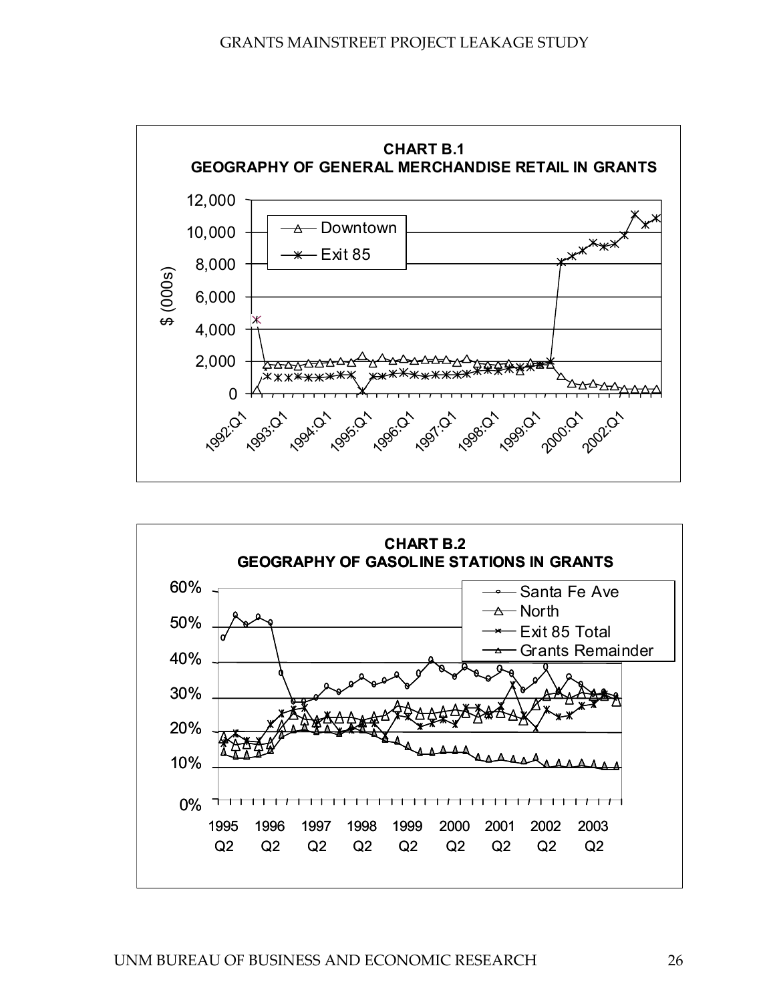

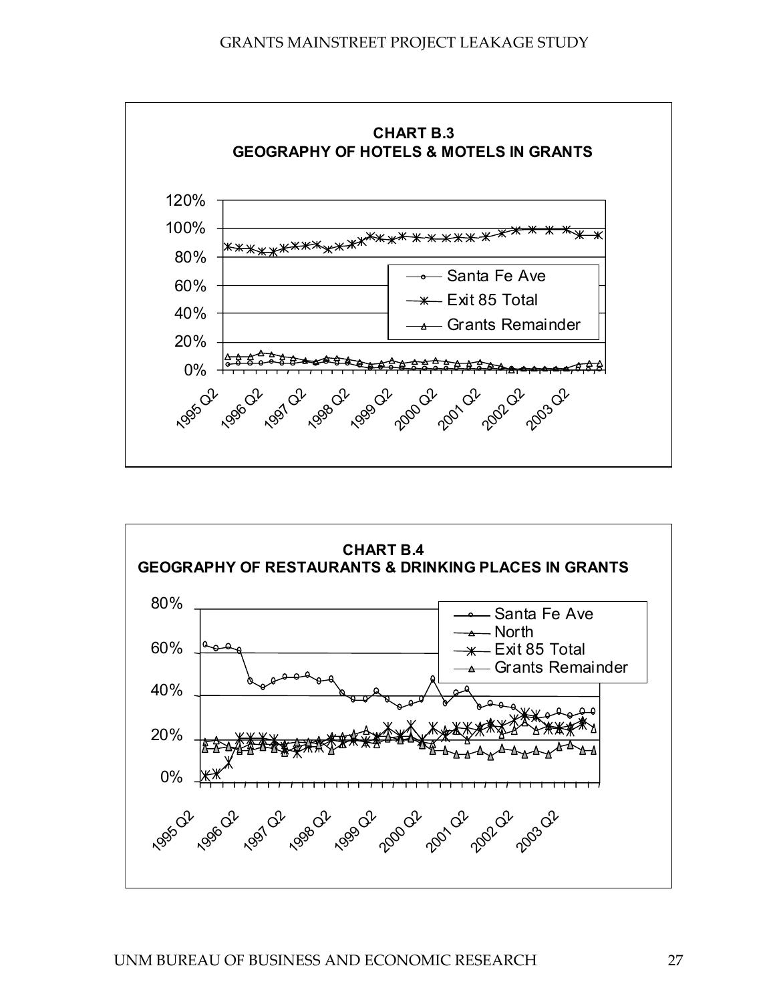

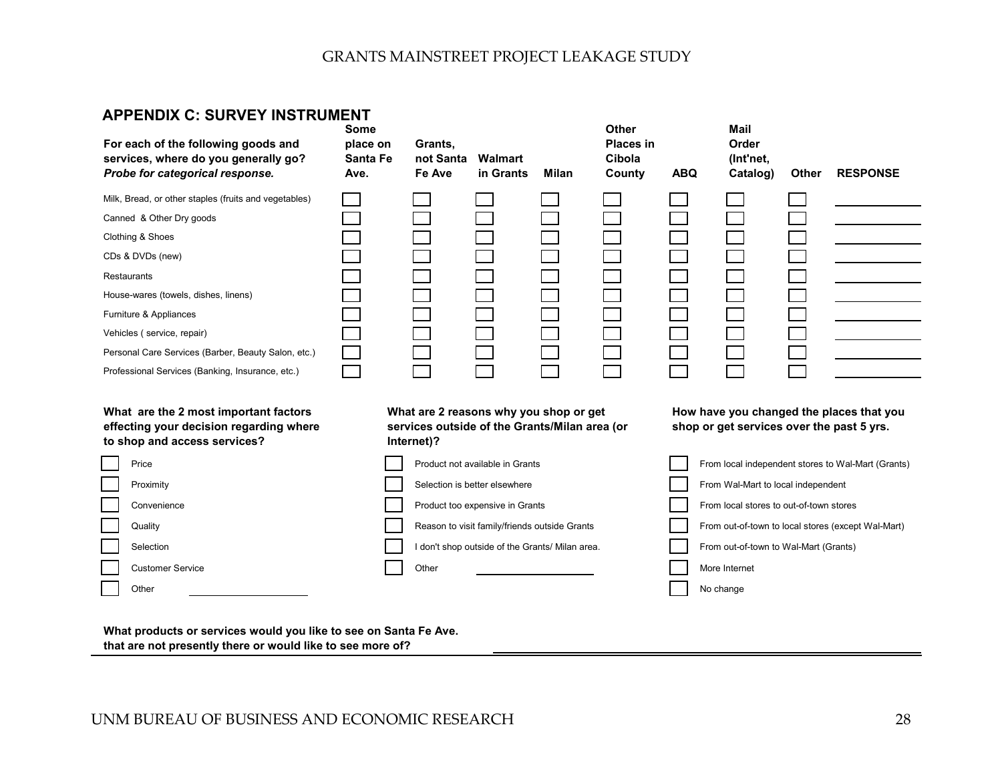## **APPENDIX C: SURVEY INSTRUMENT**

| For each of the following goods and<br>services, where do you generally go?<br>Probe for categorical response.                                                                                                                                                                                                                                      | <b>Some</b><br>place on<br><b>Santa Fe</b><br>Ave. | Grants,<br>not Santa<br>Fe Ave                                                                        | Walmart<br>in Grants                            | <b>Milan</b> | <b>Other</b><br><b>Places in</b><br>Cibola<br>County | <b>ABQ</b> | <b>Mail</b><br>Order<br>(Int'net,<br>Catalog) | <b>Other</b> | <b>RESPONSE</b>                                    |
|-----------------------------------------------------------------------------------------------------------------------------------------------------------------------------------------------------------------------------------------------------------------------------------------------------------------------------------------------------|----------------------------------------------------|-------------------------------------------------------------------------------------------------------|-------------------------------------------------|--------------|------------------------------------------------------|------------|-----------------------------------------------|--------------|----------------------------------------------------|
| Milk, Bread, or other staples (fruits and vegetables)<br>Canned & Other Dry goods<br>Clothing & Shoes<br>CDs & DVDs (new)<br>Restaurants<br>House-wares (towels, dishes, linens)<br>Furniture & Appliances<br>Vehicles (service, repair)<br>Personal Care Services (Barber, Beauty Salon, etc.)<br>Professional Services (Banking, Insurance, etc.) |                                                    |                                                                                                       |                                                 |              |                                                      |            |                                               |              |                                                    |
| What are the 2 most important factors<br>effecting your decision regarding where<br>to shop and access services?                                                                                                                                                                                                                                    |                                                    | What are 2 reasons why you shop or get<br>services outside of the Grants/Milan area (or<br>Internet)? |                                                 |              |                                                      |            | shop or get services over the past 5 yrs.     |              | How have you changed the places that you           |
| Price                                                                                                                                                                                                                                                                                                                                               |                                                    |                                                                                                       | Product not available in Grants                 |              |                                                      |            |                                               |              | From local independent stores to Wal-Mart (Grants) |
| Proximity                                                                                                                                                                                                                                                                                                                                           |                                                    |                                                                                                       | Selection is better elsewhere                   |              |                                                      |            | From Wal-Mart to local independent            |              |                                                    |
| Convenience                                                                                                                                                                                                                                                                                                                                         |                                                    |                                                                                                       | Product too expensive in Grants                 |              |                                                      |            | From local stores to out-of-town stores       |              |                                                    |
| Quality                                                                                                                                                                                                                                                                                                                                             |                                                    |                                                                                                       | Reason to visit family/friends outside Grants   |              |                                                      |            |                                               |              | From out-of-town to local stores (except Wal-Mart) |
| Selection                                                                                                                                                                                                                                                                                                                                           |                                                    |                                                                                                       | I don't shop outside of the Grants/ Milan area. |              |                                                      |            | From out-of-town to Wal-Mart (Grants)         |              |                                                    |
| <b>Customer Service</b>                                                                                                                                                                                                                                                                                                                             |                                                    | Other                                                                                                 |                                                 |              |                                                      |            | More Internet                                 |              |                                                    |
| Other                                                                                                                                                                                                                                                                                                                                               |                                                    |                                                                                                       |                                                 |              |                                                      |            | No change                                     |              |                                                    |

**What products or services would you like to see on Santa Fe Ave. that are not presently there or would like to see more of?**